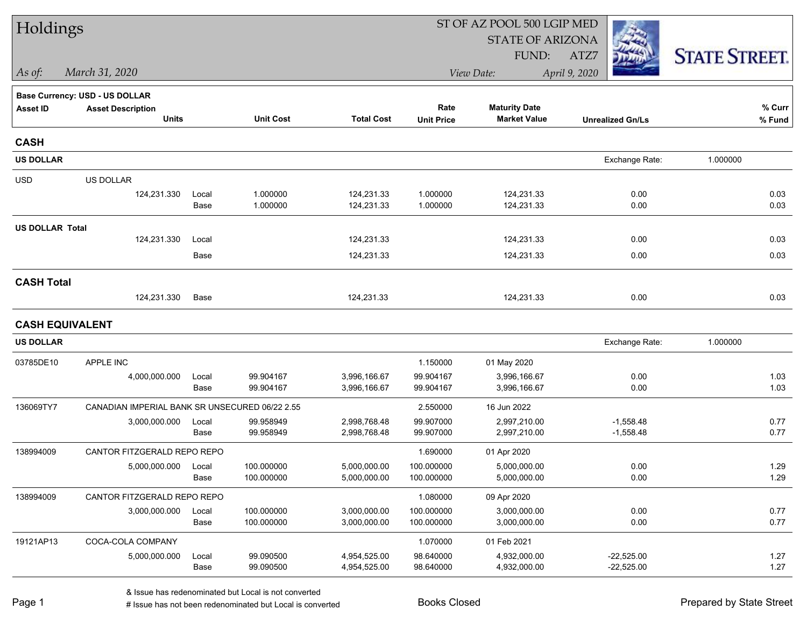| Holdings               |                                                |               |                        |                              |                        | ST OF AZ POOL 500 LGIP MED                  |                              |                      |  |
|------------------------|------------------------------------------------|---------------|------------------------|------------------------------|------------------------|---------------------------------------------|------------------------------|----------------------|--|
|                        |                                                |               |                        |                              |                        | <b>STATE OF ARIZONA</b>                     |                              |                      |  |
|                        |                                                |               |                        |                              |                        | FUND:                                       | ATZ7                         | <b>STATE STREET.</b> |  |
| As of:                 | March 31, 2020                                 |               |                        |                              |                        | View Date:                                  | April 9, 2020                |                      |  |
|                        | Base Currency: USD - US DOLLAR                 |               |                        |                              |                        |                                             |                              |                      |  |
| <b>Asset ID</b>        | <b>Asset Description</b><br><b>Units</b>       |               | <b>Unit Cost</b>       | <b>Total Cost</b>            | Rate                   | <b>Maturity Date</b><br><b>Market Value</b> |                              | % Curr               |  |
|                        |                                                |               |                        |                              | <b>Unit Price</b>      |                                             | <b>Unrealized Gn/Ls</b>      | % Fund               |  |
| <b>CASH</b>            |                                                |               |                        |                              |                        |                                             |                              |                      |  |
| <b>US DOLLAR</b>       |                                                |               |                        |                              |                        |                                             | Exchange Rate:               | 1.000000             |  |
| <b>USD</b>             | US DOLLAR                                      |               |                        |                              |                        |                                             |                              |                      |  |
|                        | 124,231.330                                    | Local         | 1.000000               | 124,231.33                   | 1.000000               | 124,231.33                                  | 0.00                         | 0.03                 |  |
|                        |                                                | Base          | 1.000000               | 124,231.33                   | 1.000000               | 124,231.33                                  | 0.00                         | 0.03                 |  |
| <b>US DOLLAR Total</b> |                                                |               |                        |                              |                        |                                             |                              |                      |  |
|                        | 124,231.330                                    | Local         |                        | 124,231.33                   |                        | 124,231.33                                  | 0.00                         | 0.03                 |  |
|                        |                                                | Base          |                        | 124,231.33                   |                        | 124,231.33                                  | 0.00                         | 0.03                 |  |
| <b>CASH Total</b>      |                                                |               |                        |                              |                        |                                             |                              |                      |  |
|                        | 124,231.330                                    | Base          |                        | 124,231.33                   |                        | 124,231.33                                  | 0.00                         | 0.03                 |  |
| <b>CASH EQUIVALENT</b> |                                                |               |                        |                              |                        |                                             |                              |                      |  |
| <b>US DOLLAR</b>       |                                                |               |                        |                              |                        |                                             | Exchange Rate:               | 1.000000             |  |
| 03785DE10              | APPLE INC                                      |               |                        |                              | 1.150000               | 01 May 2020                                 |                              |                      |  |
|                        | 4,000,000.000                                  | Local         | 99.904167              | 3,996,166.67                 | 99.904167              | 3,996,166.67                                | 0.00                         | 1.03                 |  |
|                        |                                                | Base          | 99.904167              | 3,996,166.67                 | 99.904167              | 3,996,166.67                                | 0.00                         | 1.03                 |  |
| 136069TY7              | CANADIAN IMPERIAL BANK SR UNSECURED 06/22 2.55 |               |                        |                              | 2.550000               | 16 Jun 2022                                 |                              |                      |  |
|                        | 3,000,000.000                                  | Local<br>Base | 99.958949<br>99.958949 | 2,998,768.48<br>2,998,768.48 | 99.907000<br>99.907000 | 2,997,210.00<br>2,997,210.00                | $-1,558.48$<br>$-1,558.48$   | 0.77<br>0.77         |  |
| 138994009              | CANTOR FITZGERALD REPO REPO                    |               |                        |                              | 1.690000               | 01 Apr 2020                                 |                              |                      |  |
|                        | 5,000,000.000                                  | Local         | 100.000000             | 5,000,000.00                 | 100.000000             | 5.000.000.00                                | 0.00                         | 1.29                 |  |
|                        |                                                | Base          | 100.000000             | 5,000,000.00                 | 100.000000             | 5,000,000.00                                | 0.00                         | 1.29                 |  |
| 138994009              | CANTOR FITZGERALD REPO REPO                    |               |                        |                              | 1.080000               | 09 Apr 2020                                 |                              |                      |  |
|                        | 3,000,000.000                                  | Local         | 100.000000             | 3,000,000.00                 | 100.000000             | 3,000,000.00                                | 0.00                         | 0.77                 |  |
|                        |                                                | Base          | 100.000000             | 3,000,000.00                 | 100.000000             | 3,000,000.00                                | 0.00                         | 0.77                 |  |
| 19121AP13              | COCA-COLA COMPANY                              |               |                        |                              | 1.070000               | 01 Feb 2021                                 |                              |                      |  |
|                        | 5,000,000.000                                  | Local<br>Base | 99.090500<br>99.090500 | 4,954,525.00<br>4,954,525.00 | 98.640000<br>98.640000 | 4,932,000.00<br>4,932,000.00                | $-22,525.00$<br>$-22,525.00$ | 1.27<br>1.27         |  |
|                        |                                                |               |                        |                              |                        |                                             |                              |                      |  |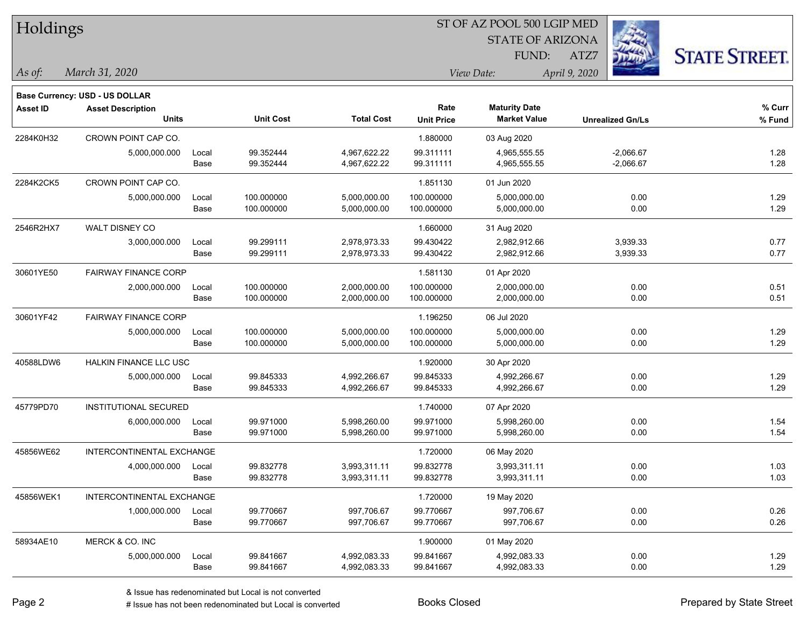| Holdings        |                                          |               |                          |                              |                           |                                             |                            |                      |
|-----------------|------------------------------------------|---------------|--------------------------|------------------------------|---------------------------|---------------------------------------------|----------------------------|----------------------|
|                 |                                          |               |                          |                              |                           | <b>STATE OF ARIZONA</b>                     |                            |                      |
|                 |                                          |               |                          |                              |                           | FUND:                                       | ATZ7                       | <b>STATE STREET.</b> |
| As of:          | March 31, 2020                           |               |                          |                              |                           | View Date:                                  | April 9, 2020              |                      |
|                 |                                          |               |                          |                              |                           |                                             |                            |                      |
|                 | <b>Base Currency: USD - US DOLLAR</b>    |               |                          |                              |                           |                                             |                            |                      |
| <b>Asset ID</b> | <b>Asset Description</b><br><b>Units</b> |               | <b>Unit Cost</b>         | <b>Total Cost</b>            | Rate<br><b>Unit Price</b> | <b>Maturity Date</b><br><b>Market Value</b> | <b>Unrealized Gn/Ls</b>    | % Curr<br>% Fund     |
|                 | CROWN POINT CAP CO.                      |               |                          |                              |                           |                                             |                            |                      |
| 2284K0H32       |                                          |               | 99.352444                | 4,967,622.22                 | 1.880000<br>99.311111     | 03 Aug 2020                                 |                            |                      |
|                 | 5,000,000.000                            | Local<br>Base | 99.352444                | 4,967,622.22                 | 99.311111                 | 4,965,555.55<br>4,965,555.55                | $-2,066.67$<br>$-2,066.67$ | 1.28<br>1.28         |
|                 |                                          |               |                          |                              |                           |                                             |                            |                      |
| 2284K2CK5       | CROWN POINT CAP CO.                      |               |                          |                              | 1.851130                  | 01 Jun 2020                                 |                            |                      |
|                 | 5,000,000.000                            | Local<br>Base | 100.000000<br>100.000000 | 5,000,000.00<br>5,000,000.00 | 100.000000<br>100.000000  | 5,000,000.00<br>5,000,000.00                | 0.00<br>0.00               | 1.29<br>1.29         |
|                 |                                          |               |                          |                              |                           |                                             |                            |                      |
| 2546R2HX7       | WALT DISNEY CO                           |               |                          |                              | 1.660000                  | 31 Aug 2020                                 |                            |                      |
|                 | 3,000,000.000                            | Local<br>Base | 99.299111<br>99.299111   | 2,978,973.33<br>2,978,973.33 | 99.430422<br>99.430422    | 2,982,912.66<br>2,982,912.66                | 3,939.33<br>3,939.33       | 0.77<br>0.77         |
|                 |                                          |               |                          |                              |                           |                                             |                            |                      |
| 30601YE50       | <b>FAIRWAY FINANCE CORP</b>              |               |                          |                              | 1.581130                  | 01 Apr 2020                                 |                            |                      |
|                 | 2,000,000.000                            | Local<br>Base | 100.000000<br>100.000000 | 2,000,000.00<br>2,000,000.00 | 100.000000<br>100.000000  | 2,000,000.00<br>2,000,000.00                | 0.00<br>0.00               | 0.51<br>0.51         |
|                 |                                          |               |                          |                              |                           |                                             |                            |                      |
| 30601YF42       | <b>FAIRWAY FINANCE CORP</b>              |               |                          |                              | 1.196250                  | 06 Jul 2020                                 |                            |                      |
|                 | 5,000,000.000                            | Local<br>Base | 100.000000<br>100.000000 | 5,000,000.00<br>5,000,000.00 | 100.000000<br>100.000000  | 5,000,000.00<br>5,000,000.00                | 0.00<br>0.00               | 1.29<br>1.29         |
|                 |                                          |               |                          |                              |                           |                                             |                            |                      |
| 40588LDW6       | <b>HALKIN FINANCE LLC USC</b>            |               |                          |                              | 1.920000                  | 30 Apr 2020                                 |                            |                      |
|                 | 5,000,000.000                            | Local         | 99.845333                | 4,992,266.67                 | 99.845333                 | 4,992,266.67                                | 0.00                       | 1.29                 |
|                 |                                          | Base          | 99.845333                | 4,992,266.67                 | 99.845333                 | 4,992,266.67                                | 0.00                       | 1.29                 |
| 45779PD70       | INSTITUTIONAL SECURED                    |               |                          |                              | 1.740000                  | 07 Apr 2020                                 |                            |                      |
|                 | 6,000,000.000                            | Local         | 99.971000                | 5,998,260.00                 | 99.971000                 | 5,998,260.00                                | 0.00                       | 1.54                 |
|                 |                                          | Base          | 99.971000                | 5,998,260.00                 | 99.971000                 | 5,998,260.00                                | 0.00                       | 1.54                 |
| 45856WE62       | <b>INTERCONTINENTAL EXCHANGE</b>         |               |                          |                              | 1.720000                  | 06 May 2020                                 |                            |                      |
|                 | 4,000,000.000                            | Local         | 99.832778                | 3,993,311.11                 | 99.832778                 | 3,993,311.11                                | 0.00                       | 1.03                 |
|                 |                                          | Base          | 99.832778                | 3,993,311.11                 | 99.832778                 | 3,993,311.11                                | 0.00                       | 1.03                 |
| 45856WEK1       | INTERCONTINENTAL EXCHANGE                |               |                          |                              | 1.720000                  | 19 May 2020                                 |                            |                      |
|                 | 1,000,000.000                            | Local         | 99.770667                | 997,706.67                   | 99.770667                 | 997,706.67                                  | 0.00                       | 0.26                 |
|                 |                                          | Base          | 99.770667                | 997,706.67                   | 99.770667                 | 997,706.67                                  | 0.00                       | 0.26                 |
| 58934AE10       | MERCK & CO. INC                          |               |                          |                              | 1.900000                  | 01 May 2020                                 |                            |                      |
|                 | 5,000,000.000                            | Local         | 99.841667                | 4,992,083.33                 | 99.841667                 | 4,992,083.33                                | 0.00                       | 1.29                 |
|                 |                                          | Base          | 99.841667                | 4,992,083.33                 | 99.841667                 | 4,992,083.33                                | 0.00                       | 1.29                 |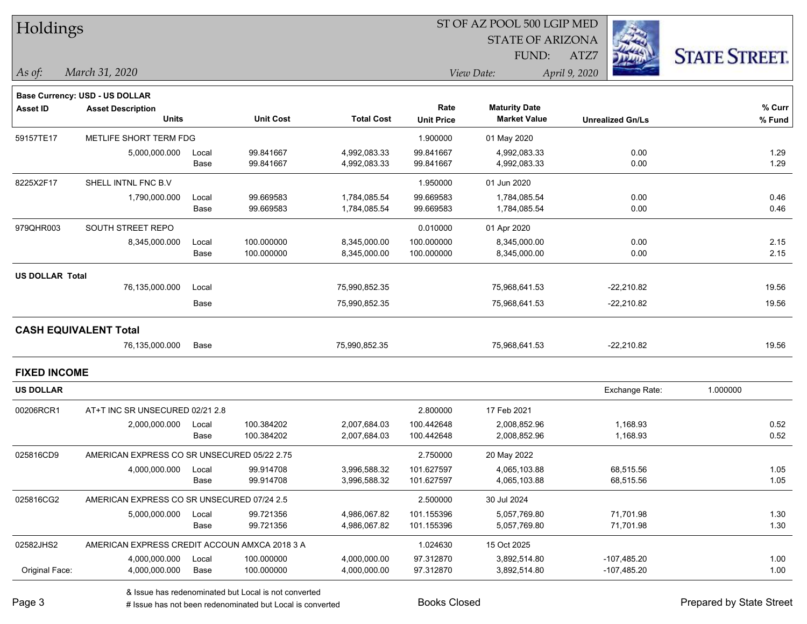| Holdings               |                                               |       |                  |                   | ST OF AZ POOL 500 LGIP MED |                             |                         |                      |  |
|------------------------|-----------------------------------------------|-------|------------------|-------------------|----------------------------|-----------------------------|-------------------------|----------------------|--|
|                        |                                               |       |                  |                   |                            | <b>STATE OF ARIZONA</b>     |                         |                      |  |
|                        |                                               |       |                  |                   |                            | FUND:                       | ATZ7                    | <b>STATE STREET.</b> |  |
| As of:                 | March 31, 2020                                |       |                  |                   |                            | View Date:<br>April 9, 2020 |                         |                      |  |
|                        |                                               |       |                  |                   |                            |                             |                         |                      |  |
|                        | Base Currency: USD - US DOLLAR                |       |                  |                   | Rate                       | <b>Maturity Date</b>        |                         | % Curr               |  |
| <b>Asset ID</b>        | <b>Asset Description</b><br><b>Units</b>      |       | <b>Unit Cost</b> | <b>Total Cost</b> | <b>Unit Price</b>          | <b>Market Value</b>         | <b>Unrealized Gn/Ls</b> | % Fund               |  |
| 59157TE17              | METLIFE SHORT TERM FDG                        |       |                  |                   | 1.900000                   | 01 May 2020                 |                         |                      |  |
|                        | 5,000,000.000                                 | Local | 99.841667        | 4,992,083.33      | 99.841667                  | 4,992,083.33                | 0.00                    | 1.29                 |  |
|                        |                                               | Base  | 99.841667        | 4,992,083.33      | 99.841667                  | 4,992,083.33                | 0.00                    | 1.29                 |  |
| 8225X2F17              | SHELL INTNL FNC B.V                           |       |                  |                   | 1.950000                   | 01 Jun 2020                 |                         |                      |  |
|                        | 1,790,000.000                                 | Local | 99.669583        | 1,784,085.54      | 99.669583                  | 1,784,085.54                | 0.00                    | 0.46                 |  |
|                        |                                               | Base  | 99.669583        | 1,784,085.54      | 99.669583                  | 1,784,085.54                | 0.00                    | 0.46                 |  |
| 979QHR003              | SOUTH STREET REPO                             |       |                  |                   | 0.010000                   | 01 Apr 2020                 |                         |                      |  |
|                        | 8,345,000.000                                 | Local | 100.000000       | 8,345,000.00      | 100.000000                 | 8,345,000.00                | 0.00                    | 2.15                 |  |
|                        |                                               | Base  | 100.000000       | 8,345,000.00      | 100.000000                 | 8,345,000.00                | 0.00                    | 2.15                 |  |
| <b>US DOLLAR Total</b> |                                               |       |                  |                   |                            |                             |                         |                      |  |
|                        | 76,135,000.000                                | Local |                  | 75,990,852.35     |                            | 75,968,641.53               | $-22,210.82$            | 19.56                |  |
|                        |                                               | Base  |                  | 75,990,852.35     |                            | 75,968,641.53               | $-22,210.82$            | 19.56                |  |
|                        | <b>CASH EQUIVALENT Total</b>                  |       |                  |                   |                            |                             |                         |                      |  |
|                        | 76,135,000.000                                | Base  |                  | 75,990,852.35     |                            | 75,968,641.53               | $-22,210.82$            | 19.56                |  |
| <b>FIXED INCOME</b>    |                                               |       |                  |                   |                            |                             |                         |                      |  |
| <b>US DOLLAR</b>       |                                               |       |                  |                   |                            |                             | Exchange Rate:          | 1.000000             |  |
| 00206RCR1              | AT+T INC SR UNSECURED 02/21 2.8               |       |                  |                   | 2.800000                   | 17 Feb 2021                 |                         |                      |  |
|                        | 2,000,000.000                                 | Local | 100.384202       | 2,007,684.03      | 100.442648                 | 2,008,852.96                | 1,168.93                | 0.52                 |  |
|                        |                                               | Base  | 100.384202       | 2,007,684.03      | 100.442648                 | 2,008,852.96                | 1,168.93                | 0.52                 |  |
| 025816CD9              | AMERICAN EXPRESS CO SR UNSECURED 05/22 2.75   |       |                  |                   | 2.750000                   | 20 May 2022                 |                         |                      |  |
|                        | 4,000,000.000                                 | Local | 99.914708        | 3,996,588.32      | 101.627597                 | 4,065,103.88                | 68,515.56               | 1.05                 |  |
|                        |                                               | Base  | 99.914708        | 3,996,588.32      | 101.627597                 | 4,065,103.88                | 68,515.56               | 1.05                 |  |
| 025816CG2              | AMERICAN EXPRESS CO SR UNSECURED 07/24 2.5    |       |                  |                   | 2.500000                   | 30 Jul 2024                 |                         |                      |  |
|                        | 5,000,000.000                                 | Local | 99.721356        | 4,986,067.82      | 101.155396                 | 5,057,769.80                | 71,701.98               | 1.30                 |  |
|                        |                                               | Base  | 99.721356        | 4,986,067.82      | 101.155396                 | 5,057,769.80                | 71,701.98               | 1.30                 |  |
| 02582JHS2              | AMERICAN EXPRESS CREDIT ACCOUN AMXCA 2018 3 A |       |                  |                   | 1.024630                   | 15 Oct 2025                 |                         |                      |  |
|                        | 4,000,000.000                                 | Local | 100.000000       | 4,000,000.00      | 97.312870                  | 3,892,514.80                | $-107,485.20$           | 1.00                 |  |
| Original Face:         | 4,000,000.000                                 | Base  | 100.000000       | 4,000,000.00      | 97.312870                  | 3,892,514.80                | $-107,485.20$           | 1.00                 |  |
|                        |                                               |       |                  |                   |                            |                             |                         |                      |  |

denote the redenominated but Local is converted Books Closed Prepared by State Street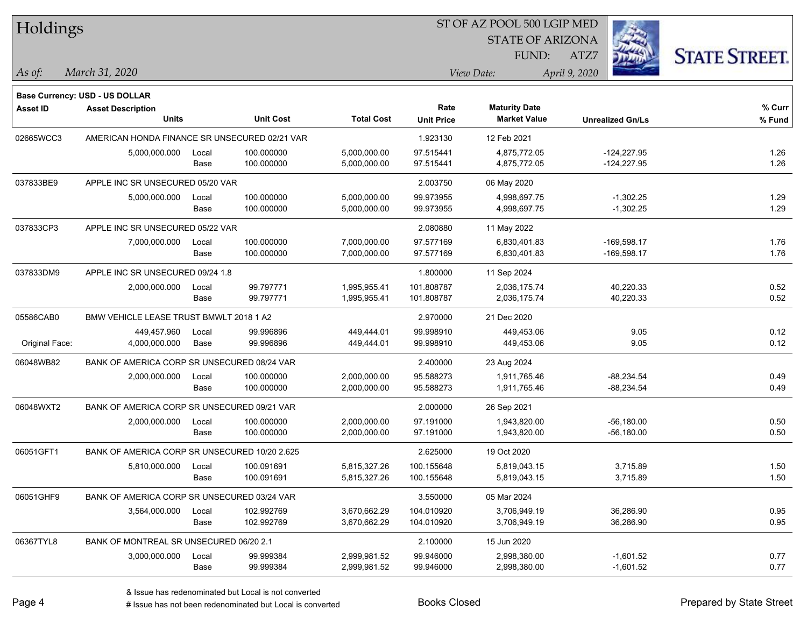| Holdings        |                                               |       |                  |                   |                           |                                             |                         |                      |
|-----------------|-----------------------------------------------|-------|------------------|-------------------|---------------------------|---------------------------------------------|-------------------------|----------------------|
|                 |                                               |       |                  |                   |                           | <b>STATE OF ARIZONA</b>                     |                         |                      |
|                 |                                               |       |                  |                   |                           | FUND:                                       | ATZ7                    | <b>STATE STREET.</b> |
| $ $ As of:      | March 31, 2020                                |       |                  |                   |                           | View Date:                                  | April 9, 2020           |                      |
|                 |                                               |       |                  |                   |                           |                                             |                         |                      |
|                 | <b>Base Currency: USD - US DOLLAR</b>         |       |                  |                   |                           |                                             |                         |                      |
| <b>Asset ID</b> | <b>Asset Description</b><br><b>Units</b>      |       | <b>Unit Cost</b> | <b>Total Cost</b> | Rate<br><b>Unit Price</b> | <b>Maturity Date</b><br><b>Market Value</b> | <b>Unrealized Gn/Ls</b> | % Curr<br>% Fund     |
| 02665WCC3       | AMERICAN HONDA FINANCE SR UNSECURED 02/21 VAR |       |                  |                   | 1.923130                  | 12 Feb 2021                                 |                         |                      |
|                 | 5,000,000.000                                 | Local | 100.000000       | 5,000,000.00      | 97.515441                 | 4,875,772.05                                | $-124,227.95$           | 1.26                 |
|                 |                                               | Base  | 100.000000       | 5,000,000.00      | 97.515441                 | 4,875,772.05                                | $-124,227.95$           | 1.26                 |
| 037833BE9       | APPLE INC SR UNSECURED 05/20 VAR              |       |                  |                   | 2.003750                  | 06 May 2020                                 |                         |                      |
|                 | 5,000,000.000                                 | Local | 100.000000       | 5,000,000.00      | 99.973955                 | 4,998,697.75                                | $-1,302.25$             | 1.29                 |
|                 |                                               | Base  | 100.000000       | 5,000,000.00      | 99.973955                 | 4,998,697.75                                | $-1,302.25$             | 1.29                 |
| 037833CP3       | APPLE INC SR UNSECURED 05/22 VAR              |       |                  |                   | 2.080880                  | 11 May 2022                                 |                         |                      |
|                 | 7,000,000.000                                 | Local | 100.000000       | 7,000,000.00      | 97.577169                 | 6,830,401.83                                | $-169,598.17$           | 1.76                 |
|                 |                                               | Base  | 100.000000       | 7,000,000.00      | 97.577169                 | 6,830,401.83                                | $-169,598.17$           | 1.76                 |
| 037833DM9       | APPLE INC SR UNSECURED 09/24 1.8              |       |                  |                   | 1.800000                  | 11 Sep 2024                                 |                         |                      |
|                 | 2,000,000.000                                 | Local | 99.797771        | 1,995,955.41      | 101.808787                | 2,036,175.74                                | 40,220.33               | 0.52                 |
|                 |                                               | Base  | 99.797771        | 1,995,955.41      | 101.808787                | 2,036,175.74                                | 40,220.33               | 0.52                 |
| 05586CAB0       | BMW VEHICLE LEASE TRUST BMWLT 2018 1 A2       |       |                  |                   | 2.970000                  | 21 Dec 2020                                 |                         |                      |
|                 | 449,457.960                                   | Local | 99.996896        | 449,444.01        | 99.998910                 | 449,453.06                                  | 9.05                    | 0.12                 |
| Original Face:  | 4,000,000.000                                 | Base  | 99.996896        | 449,444.01        | 99.998910                 | 449,453.06                                  | 9.05                    | 0.12                 |
| 06048WB82       | BANK OF AMERICA CORP SR UNSECURED 08/24 VAR   |       |                  |                   | 2.400000                  | 23 Aug 2024                                 |                         |                      |
|                 | 2,000,000.000                                 | Local | 100.000000       | 2,000,000.00      | 95.588273                 | 1,911,765.46                                | $-88,234.54$            | 0.49                 |
|                 |                                               | Base  | 100.000000       | 2,000,000.00      | 95.588273                 | 1,911,765.46                                | $-88,234.54$            | 0.49                 |
| 06048WXT2       | BANK OF AMERICA CORP SR UNSECURED 09/21 VAR   |       |                  |                   | 2.000000                  | 26 Sep 2021                                 |                         |                      |
|                 | 2,000,000.000                                 | Local | 100.000000       | 2,000,000.00      | 97.191000                 | 1,943,820.00                                | $-56,180.00$            | 0.50                 |
|                 |                                               | Base  | 100.000000       | 2,000,000.00      | 97.191000                 | 1,943,820.00                                | $-56,180.00$            | 0.50                 |
| 06051GFT1       | BANK OF AMERICA CORP SR UNSECURED 10/20 2.625 |       |                  |                   | 2.625000                  | 19 Oct 2020                                 |                         |                      |
|                 | 5,810,000.000                                 | Local | 100.091691       | 5,815,327.26      | 100.155648                | 5,819,043.15                                | 3,715.89                | 1.50                 |
|                 |                                               | Base  | 100.091691       | 5,815,327.26      | 100.155648                | 5,819,043.15                                | 3,715.89                | 1.50                 |
| 06051GHF9       | BANK OF AMERICA CORP SR UNSECURED 03/24 VAR   |       |                  |                   | 3.550000                  | 05 Mar 2024                                 |                         |                      |
|                 | 3,564,000.000                                 | Local | 102.992769       | 3,670,662.29      | 104.010920                | 3,706,949.19                                | 36,286.90               | 0.95                 |
|                 |                                               | Base  | 102.992769       | 3,670,662.29      | 104.010920                | 3,706,949.19                                | 36,286.90               | 0.95                 |
| 06367TYL8       | BANK OF MONTREAL SR UNSECURED 06/20 2.1       |       |                  |                   | 2.100000                  | 15 Jun 2020                                 |                         |                      |
|                 | 3,000,000.000                                 | Local | 99.999384        | 2,999,981.52      | 99.946000                 | 2,998,380.00                                | $-1,601.52$             | 0.77                 |
|                 |                                               | Base  | 99.999384        | 2,999,981.52      | 99.946000                 | 2,998,380.00                                | $-1,601.52$             | 0.77                 |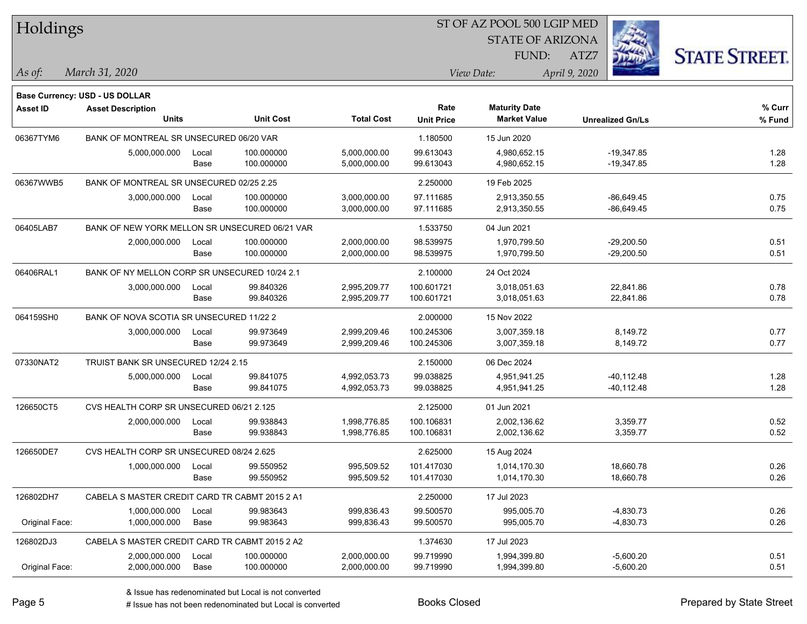| Holdings        |                                                                   |       |                  |                   |                   | ST OF AZ POOL 500 LGIP MED |                         |                      |
|-----------------|-------------------------------------------------------------------|-------|------------------|-------------------|-------------------|----------------------------|-------------------------|----------------------|
|                 |                                                                   |       |                  |                   |                   | <b>STATE OF ARIZONA</b>    |                         |                      |
|                 |                                                                   |       |                  |                   |                   | FUND:                      | ATZ7                    | <b>STATE STREET.</b> |
| As of:          | March 31, 2020                                                    |       |                  |                   |                   | View Date:                 | April 9, 2020           |                      |
|                 |                                                                   |       |                  |                   |                   |                            |                         |                      |
| <b>Asset ID</b> | <b>Base Currency: USD - US DOLLAR</b><br><b>Asset Description</b> |       |                  |                   | Rate              | <b>Maturity Date</b>       |                         | % Curr               |
|                 | <b>Units</b>                                                      |       | <b>Unit Cost</b> | <b>Total Cost</b> | <b>Unit Price</b> | <b>Market Value</b>        | <b>Unrealized Gn/Ls</b> | $%$ Fund             |
| 06367TYM6       | BANK OF MONTREAL SR UNSECURED 06/20 VAR                           |       |                  |                   | 1.180500          | 15 Jun 2020                |                         |                      |
|                 | 5,000,000.000                                                     | Local | 100.000000       | 5,000,000.00      | 99.613043         | 4,980,652.15               | $-19,347.85$            | 1.28                 |
|                 |                                                                   | Base  | 100.000000       | 5,000,000.00      | 99.613043         | 4,980,652.15               | $-19,347.85$            | 1.28                 |
| 06367WWB5       | BANK OF MONTREAL SR UNSECURED 02/25 2.25                          |       |                  |                   | 2.250000          | 19 Feb 2025                |                         |                      |
|                 | 3,000,000.000                                                     | Local | 100.000000       | 3,000,000.00      | 97.111685         | 2,913,350.55               | $-86,649.45$            | 0.75                 |
|                 |                                                                   | Base  | 100.000000       | 3,000,000.00      | 97.111685         | 2,913,350.55               | -86,649.45              | 0.75                 |
| 06405LAB7       | BANK OF NEW YORK MELLON SR UNSECURED 06/21 VAR                    |       |                  |                   | 1.533750          | 04 Jun 2021                |                         |                      |
|                 | 2,000,000.000                                                     | Local | 100.000000       | 2,000,000.00      | 98.539975         | 1,970,799.50               | $-29,200.50$            | 0.51                 |
|                 |                                                                   | Base  | 100.000000       | 2,000,000.00      | 98.539975         | 1,970,799.50               | $-29,200.50$            | 0.51                 |
| 06406RAL1       | BANK OF NY MELLON CORP SR UNSECURED 10/24 2.1                     |       |                  |                   | 2.100000          | 24 Oct 2024                |                         |                      |
|                 | 3,000,000.000                                                     | Local | 99.840326        | 2,995,209.77      | 100.601721        | 3,018,051.63               | 22,841.86               | 0.78                 |
|                 |                                                                   | Base  | 99.840326        | 2,995,209.77      | 100.601721        | 3,018,051.63               | 22,841.86               | 0.78                 |
| 064159SH0       | BANK OF NOVA SCOTIA SR UNSECURED 11/22 2                          |       |                  |                   | 2.000000          | 15 Nov 2022                |                         |                      |
|                 | 3,000,000.000                                                     | Local | 99.973649        | 2,999,209.46      | 100.245306        | 3,007,359.18               | 8,149.72                | 0.77                 |
|                 |                                                                   | Base  | 99.973649        | 2,999,209.46      | 100.245306        | 3,007,359.18               | 8,149.72                | 0.77                 |
| 07330NAT2       | TRUIST BANK SR UNSECURED 12/24 2.15                               |       |                  |                   | 2.150000          | 06 Dec 2024                |                         |                      |
|                 | 5,000,000.000                                                     | Local | 99.841075        | 4,992,053.73      | 99.038825         | 4,951,941.25               | $-40,112.48$            | 1.28                 |
|                 |                                                                   | Base  | 99.841075        | 4,992,053.73      | 99.038825         | 4,951,941.25               | $-40,112.48$            | 1.28                 |
| 126650CT5       | CVS HEALTH CORP SR UNSECURED 06/21 2.125                          |       |                  |                   | 2.125000          | 01 Jun 2021                |                         |                      |
|                 | 2,000,000.000                                                     | Local | 99.938843        | 1,998,776.85      | 100.106831        | 2,002,136.62               | 3,359.77                | 0.52                 |
|                 |                                                                   | Base  | 99.938843        | 1,998,776.85      | 100.106831        | 2,002,136.62               | 3,359.77                | 0.52                 |
| 126650DE7       | CVS HEALTH CORP SR UNSECURED 08/24 2.625                          |       |                  |                   | 2.625000          | 15 Aug 2024                |                         |                      |
|                 | 1,000,000.000                                                     | Local | 99.550952        | 995,509.52        | 101.417030        | 1,014,170.30               | 18,660.78               | 0.26                 |
|                 |                                                                   | Base  | 99.550952        | 995,509.52        | 101.417030        | 1,014,170.30               | 18,660.78               | 0.26                 |
| 126802DH7       | CABELA S MASTER CREDIT CARD TR CABMT 2015 2 A1                    |       |                  |                   | 2.250000          | 17 Jul 2023                |                         |                      |
|                 | 1,000,000.000                                                     | Local | 99.983643        | 999,836.43        | 99.500570         | 995,005.70                 | $-4,830.73$             | 0.26                 |
| Original Face:  | 1,000,000.000                                                     | Base  | 99.983643        | 999,836.43        | 99.500570         | 995,005.70                 | $-4,830.73$             | 0.26                 |
| 126802DJ3       | CABELA S MASTER CREDIT CARD TR CABMT 2015 2 A2                    |       |                  |                   | 1.374630          | 17 Jul 2023                |                         |                      |
|                 | 2,000,000.000                                                     | Local | 100.000000       | 2,000,000.00      | 99.719990         | 1,994,399.80               | $-5,600.20$             | 0.51                 |
| Original Face:  | 2,000,000.000                                                     | Base  | 100.000000       | 2,000,000.00      | 99.719990         | 1,994,399.80               | $-5,600.20$             | 0.51                 |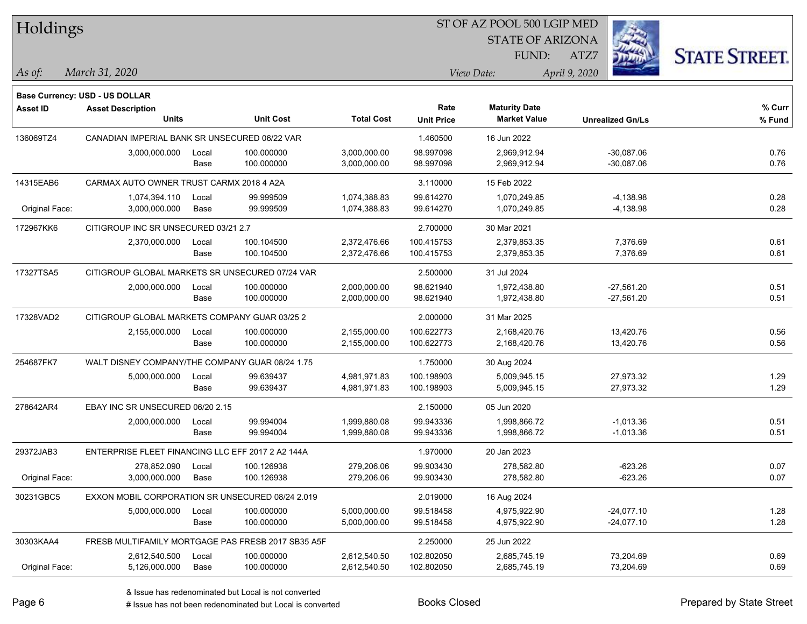| Holdings        |                                                   |       |                                                    | ST OF AZ POOL 500 LGIP MED |                   |                         |                         |                      |  |  |
|-----------------|---------------------------------------------------|-------|----------------------------------------------------|----------------------------|-------------------|-------------------------|-------------------------|----------------------|--|--|
|                 |                                                   |       |                                                    |                            |                   | <b>STATE OF ARIZONA</b> |                         |                      |  |  |
|                 |                                                   |       |                                                    |                            |                   | FUND:                   | ATZ7                    | <b>STATE STREET.</b> |  |  |
| $\vert$ As of:  | March 31, 2020                                    |       |                                                    |                            |                   | View Date:              | April 9, 2020           |                      |  |  |
|                 | <b>Base Currency: USD - US DOLLAR</b>             |       |                                                    |                            |                   |                         |                         |                      |  |  |
| <b>Asset ID</b> | <b>Asset Description</b>                          |       |                                                    |                            | Rate              | <b>Maturity Date</b>    |                         | % Curr               |  |  |
|                 | <b>Units</b>                                      |       | <b>Unit Cost</b>                                   | <b>Total Cost</b>          | <b>Unit Price</b> | <b>Market Value</b>     | <b>Unrealized Gn/Ls</b> | % Fund               |  |  |
| 136069TZ4       | CANADIAN IMPERIAL BANK SR UNSECURED 06/22 VAR     |       |                                                    |                            | 1.460500          | 16 Jun 2022             |                         |                      |  |  |
|                 | 3,000,000.000                                     | Local | 100.000000                                         | 3,000,000.00               | 98.997098         | 2,969,912.94            | $-30,087.06$            | 0.76                 |  |  |
|                 |                                                   | Base  | 100.000000                                         | 3,000,000.00               | 98.997098         | 2,969,912.94            | $-30,087.06$            | 0.76                 |  |  |
| 14315EAB6       | CARMAX AUTO OWNER TRUST CARMX 2018 4 A2A          |       |                                                    |                            | 3.110000          | 15 Feb 2022             |                         |                      |  |  |
|                 | 1,074,394.110                                     | Local | 99.999509                                          | 1,074,388.83               | 99.614270         | 1,070,249.85            | $-4,138.98$             | 0.28                 |  |  |
| Original Face:  | 3,000,000.000                                     | Base  | 99.999509                                          | 1,074,388.83               | 99.614270         | 1,070,249.85            | $-4,138.98$             | 0.28                 |  |  |
| 172967KK6       | CITIGROUP INC SR UNSECURED 03/21 2.7              |       |                                                    |                            | 2.700000          | 30 Mar 2021             |                         |                      |  |  |
|                 | 2,370,000.000                                     | Local | 100.104500                                         | 2,372,476.66               | 100.415753        | 2,379,853.35            | 7,376.69                | 0.61                 |  |  |
|                 |                                                   | Base  | 100.104500                                         | 2,372,476.66               | 100.415753        | 2,379,853.35            | 7,376.69                | 0.61                 |  |  |
| 17327TSA5       | CITIGROUP GLOBAL MARKETS SR UNSECURED 07/24 VAR   |       |                                                    |                            | 2.500000          | 31 Jul 2024             |                         |                      |  |  |
|                 | 2,000,000.000                                     | Local | 100.000000                                         | 2,000,000.00               | 98.621940         | 1,972,438.80            | $-27,561.20$            | 0.51                 |  |  |
|                 |                                                   | Base  | 100.000000                                         | 2,000,000.00               | 98.621940         | 1,972,438.80            | $-27,561.20$            | 0.51                 |  |  |
| 17328VAD2       | CITIGROUP GLOBAL MARKETS COMPANY GUAR 03/25 2     |       |                                                    |                            | 2.000000          | 31 Mar 2025             |                         |                      |  |  |
|                 | 2,155,000.000                                     | Local | 100.000000                                         | 2,155,000.00               | 100.622773        | 2,168,420.76            | 13,420.76               | 0.56                 |  |  |
|                 |                                                   | Base  | 100.000000                                         | 2,155,000.00               | 100.622773        | 2,168,420.76            | 13,420.76               | 0.56                 |  |  |
| 254687FK7       | WALT DISNEY COMPANY/THE COMPANY GUAR 08/24 1.75   |       |                                                    |                            | 1.750000          | 30 Aug 2024             |                         |                      |  |  |
|                 | 5,000,000.000                                     | Local | 99.639437                                          | 4,981,971.83               | 100.198903        | 5,009,945.15            | 27,973.32               | 1.29                 |  |  |
|                 |                                                   | Base  | 99.639437                                          | 4,981,971.83               | 100.198903        | 5,009,945.15            | 27,973.32               | 1.29                 |  |  |
| 278642AR4       | EBAY INC SR UNSECURED 06/20 2.15                  |       |                                                    |                            | 2.150000          | 05 Jun 2020             |                         |                      |  |  |
|                 | 2,000,000.000                                     | Local | 99.994004                                          | 1,999,880.08               | 99.943336         | 1,998,866.72            | $-1,013.36$             | 0.51                 |  |  |
|                 |                                                   | Base  | 99.994004                                          | 1,999,880.08               | 99.943336         | 1,998,866.72            | $-1,013.36$             | 0.51                 |  |  |
| 29372JAB3       | ENTERPRISE FLEET FINANCING LLC EFF 2017 2 A2 144A |       |                                                    |                            | 1.970000          | 20 Jan 2023             |                         |                      |  |  |
|                 | 278,852.090                                       | Local | 100.126938                                         | 279,206.06                 | 99.903430         | 278,582.80              | $-623.26$               | 0.07                 |  |  |
| Original Face:  | 3,000,000.000                                     | Base  | 100.126938                                         | 279,206.06                 | 99.903430         | 278,582.80              | $-623.26$               | 0.07                 |  |  |
| 30231GBC5       | EXXON MOBIL CORPORATION SR UNSECURED 08/24 2.019  |       |                                                    |                            | 2.019000          | 16 Aug 2024             |                         |                      |  |  |
|                 | 5,000,000.000                                     | Local | 100.000000                                         | 5,000,000.00               | 99.518458         | 4,975,922.90            | $-24,077.10$            | 1.28                 |  |  |
|                 |                                                   | Base  | 100.000000                                         | 5,000,000.00               | 99.518458         | 4,975,922.90            | $-24,077.10$            | 1.28                 |  |  |
| 30303KAA4       |                                                   |       | FRESB MULTIFAMILY MORTGAGE PAS FRESB 2017 SB35 A5F |                            | 2.250000          | 25 Jun 2022             |                         |                      |  |  |
|                 | 2,612,540.500                                     | Local | 100.000000                                         | 2,612,540.50               | 102.802050        | 2,685,745.19            | 73,204.69               | 0.69                 |  |  |
| Original Face:  | 5,126,000.000                                     | Base  | 100.000000                                         | 2,612,540.50               | 102.802050        | 2,685,745.19            | 73,204.69               | 0.69                 |  |  |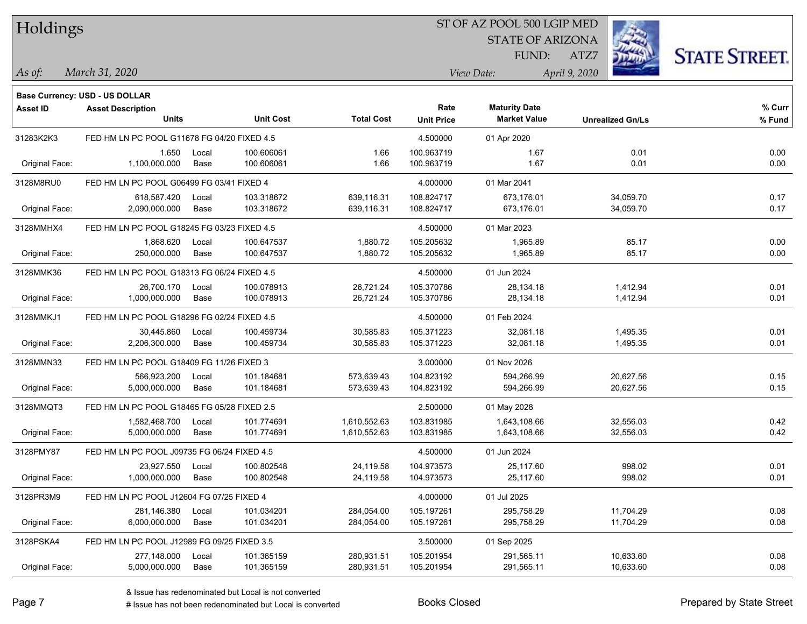| Holdings |
|----------|
|          |

### ST OF AZ POOL 500 LGIP MED

**Maturity Date**

STATE OF ARIZONA

ATZ7



**% Fund**

**% Curr**

*March 31, 2020 As of: View Date: April 9, 2020*

**Base Currency: USD - US DOLLAR**

FUND:

| 31283K2K3      | FED HM LN PC POOL G11678 FG 04/20 FIXED 4.5 |       |            |              | 4.500000   | 01 Apr 2020  |           |      |
|----------------|---------------------------------------------|-------|------------|--------------|------------|--------------|-----------|------|
|                | 1.650                                       | Local | 100.606061 | 1.66         | 100.963719 | 1.67         | 0.01      | 0.00 |
| Original Face: | 1,100,000.000                               | Base  | 100.606061 | 1.66         | 100.963719 | 1.67         | 0.01      | 0.00 |
| 3128M8RU0      | FED HM LN PC POOL G06499 FG 03/41 FIXED 4   |       |            |              | 4.000000   | 01 Mar 2041  |           |      |
|                | 618,587.420                                 | Local | 103.318672 | 639,116.31   | 108.824717 | 673,176.01   | 34,059.70 | 0.17 |
| Original Face: | 2,090,000.000                               | Base  | 103.318672 | 639.116.31   | 108.824717 | 673,176.01   | 34,059.70 | 0.17 |
| 3128MMHX4      | FED HM LN PC POOL G18245 FG 03/23 FIXED 4.5 |       |            |              | 4.500000   | 01 Mar 2023  |           |      |
|                | 1.868.620                                   | Local | 100.647537 | 1,880.72     | 105.205632 | 1,965.89     | 85.17     | 0.00 |
| Original Face: | 250,000.000                                 | Base  | 100.647537 | 1,880.72     | 105.205632 | 1,965.89     | 85.17     | 0.00 |
| 3128MMK36      | FED HM LN PC POOL G18313 FG 06/24 FIXED 4.5 |       |            |              | 4.500000   | 01 Jun 2024  |           |      |
|                | 26,700.170                                  | Local | 100.078913 | 26,721.24    | 105.370786 | 28,134.18    | 1,412.94  | 0.01 |
| Original Face: | 1,000,000.000                               | Base  | 100.078913 | 26,721.24    | 105.370786 | 28,134.18    | 1,412.94  | 0.01 |
| 3128MMKJ1      | FED HM LN PC POOL G18296 FG 02/24 FIXED 4.5 |       |            |              | 4.500000   | 01 Feb 2024  |           |      |
|                | 30,445.860                                  | Local | 100.459734 | 30,585.83    | 105.371223 | 32,081.18    | 1,495.35  | 0.01 |
| Original Face: | 2,206,300.000                               | Base  | 100.459734 | 30,585.83    | 105.371223 | 32,081.18    | 1,495.35  | 0.01 |
| 3128MMN33      | FED HM LN PC POOL G18409 FG 11/26 FIXED 3   |       |            |              | 3.000000   | 01 Nov 2026  |           |      |
|                | 566.923.200                                 | Local | 101.184681 | 573,639.43   | 104.823192 | 594,266.99   | 20.627.56 | 0.15 |
| Original Face: | 5,000,000.000                               | Base  | 101.184681 | 573,639.43   | 104.823192 | 594,266.99   | 20,627.56 | 0.15 |
| 3128MMQT3      | FED HM LN PC POOL G18465 FG 05/28 FIXED 2.5 |       |            |              | 2.500000   | 01 May 2028  |           |      |
|                | 1,582,468.700                               | Local | 101.774691 | 1,610,552.63 | 103.831985 | 1,643,108.66 | 32,556.03 | 0.42 |
| Original Face: | 5,000,000.000                               | Base  | 101.774691 | 1,610,552.63 | 103.831985 | 1,643,108.66 | 32,556.03 | 0.42 |
| 3128PMY87      | FED HM LN PC POOL J09735 FG 06/24 FIXED 4.5 |       |            |              | 4.500000   | 01 Jun 2024  |           |      |
|                | 23,927.550                                  | Local | 100.802548 | 24,119.58    | 104.973573 | 25,117.60    | 998.02    | 0.01 |
| Original Face: | 1,000,000.000                               | Base  | 100.802548 | 24,119.58    | 104.973573 | 25,117.60    | 998.02    | 0.01 |
| 3128PR3M9      | FED HM LN PC POOL J12604 FG 07/25 FIXED 4   |       |            |              | 4.000000   | 01 Jul 2025  |           |      |
|                | 281,146.380                                 | Local | 101.034201 | 284,054.00   | 105.197261 | 295,758.29   | 11,704.29 | 0.08 |
| Original Face: | 6,000,000.000                               | Base  | 101.034201 | 284,054.00   | 105.197261 | 295,758.29   | 11,704.29 | 0.08 |
|                |                                             |       |            |              |            |              |           |      |

**Units Unit Cost Total Cost Unit Price Market Value Unrealized Gn/Ls**

3128PSKA4 FED HM LN PC POOL J12989 FG 09/25 FIXED 3.5 3.50000 3.50000 3.50000 31 Sep 2025

**Asset ID Asset Description Rate**

Original Face: 5,000,000.000 Base 101.365159 280,931.51 105.201954 291,565.11 10,633.60 0.08

277,148.000 Local 101.365159 280,931.51 105.201954 291,565.11 10,633.60 0.08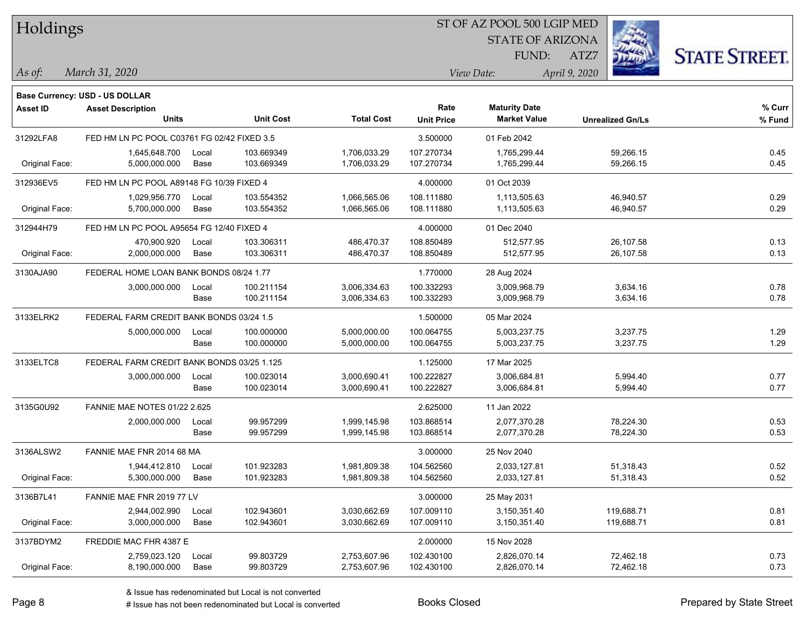| Holdings        |                                             |       |                  |                   |                   | ST OF AZ POOL 500 LGIP MED |                         |                      |
|-----------------|---------------------------------------------|-------|------------------|-------------------|-------------------|----------------------------|-------------------------|----------------------|
|                 |                                             |       |                  |                   |                   | <b>STATE OF ARIZONA</b>    |                         |                      |
|                 |                                             |       |                  |                   |                   | FUND:                      | ATZ7                    | <b>STATE STREET.</b> |
| As of:          | March 31, 2020                              |       |                  |                   |                   | View Date:                 | April 9, 2020           |                      |
|                 | Base Currency: USD - US DOLLAR              |       |                  |                   |                   |                            |                         |                      |
| <b>Asset ID</b> | <b>Asset Description</b>                    |       |                  |                   | Rate              | <b>Maturity Date</b>       |                         | $%$ Curr             |
|                 | <b>Units</b>                                |       | <b>Unit Cost</b> | <b>Total Cost</b> | <b>Unit Price</b> | <b>Market Value</b>        | <b>Unrealized Gn/Ls</b> | % Fund               |
| 31292LFA8       | FED HM LN PC POOL C03761 FG 02/42 FIXED 3.5 |       |                  |                   | 3.500000          | 01 Feb 2042                |                         |                      |
|                 | 1,645,648.700                               | Local | 103.669349       | 1,706,033.29      | 107.270734        | 1,765,299.44               | 59,266.15               | 0.45                 |
| Original Face:  | 5,000,000.000                               | Base  | 103.669349       | 1,706,033.29      | 107.270734        | 1,765,299.44               | 59,266.15               | 0.45                 |
| 312936EV5       | FED HM LN PC POOL A89148 FG 10/39 FIXED 4   |       |                  |                   | 4.000000          | 01 Oct 2039                |                         |                      |
|                 | 1,029,956.770                               | Local | 103.554352       | 1,066,565.06      | 108.111880        | 1,113,505.63               | 46,940.57               | 0.29                 |
| Original Face:  | 5,700,000.000                               | Base  | 103.554352       | 1,066,565.06      | 108.111880        | 1,113,505.63               | 46,940.57               | 0.29                 |
| 312944H79       | FED HM LN PC POOL A95654 FG 12/40 FIXED 4   |       |                  |                   | 4.000000          | 01 Dec 2040                |                         |                      |
|                 | 470,900.920                                 | Local | 103.306311       | 486,470.37        | 108.850489        | 512.577.95                 | 26,107.58               | 0.13                 |
| Original Face:  | 2,000,000.000                               | Base  | 103.306311       | 486,470.37        | 108.850489        | 512,577.95                 | 26,107.58               | 0.13                 |
| 3130AJA90       | FEDERAL HOME LOAN BANK BONDS 08/24 1.77     |       |                  |                   | 1.770000          | 28 Aug 2024                |                         |                      |
|                 | 3,000,000.000                               | Local | 100.211154       | 3,006,334.63      | 100.332293        | 3,009,968.79               | 3,634.16                | 0.78                 |
|                 |                                             | Base  | 100.211154       | 3,006,334.63      | 100.332293        | 3,009,968.79               | 3,634.16                | 0.78                 |
| 3133ELRK2       | FEDERAL FARM CREDIT BANK BONDS 03/24 1.5    |       |                  |                   | 1.500000          | 05 Mar 2024                |                         |                      |
|                 | 5,000,000.000                               | Local | 100.000000       | 5,000,000.00      | 100.064755        | 5,003,237.75               | 3,237.75                | 1.29                 |
|                 |                                             | Base  | 100.000000       | 5,000,000.00      | 100.064755        | 5,003,237.75               | 3,237.75                | 1.29                 |
| 3133ELTC8       | FEDERAL FARM CREDIT BANK BONDS 03/25 1.125  |       |                  |                   | 1.125000          | 17 Mar 2025                |                         |                      |
|                 | 3,000,000.000                               | Local | 100.023014       | 3,000,690.41      | 100.222827        | 3,006,684.81               | 5,994.40                | 0.77                 |
|                 |                                             | Base  | 100.023014       | 3,000,690.41      | 100.222827        | 3,006,684.81               | 5,994.40                | 0.77                 |
| 3135G0U92       | FANNIE MAE NOTES 01/22 2.625                |       |                  |                   | 2.625000          | 11 Jan 2022                |                         |                      |
|                 | 2,000,000.000                               | Local | 99.957299        | 1,999,145.98      | 103.868514        | 2,077,370.28               | 78,224.30               | 0.53                 |
|                 |                                             | Base  | 99.957299        | 1,999,145.98      | 103.868514        | 2,077,370.28               | 78,224.30               | 0.53                 |
| 3136ALSW2       | FANNIE MAE FNR 2014 68 MA                   |       |                  |                   | 3.000000          | 25 Nov 2040                |                         |                      |
|                 | 1,944,412.810                               | Local | 101.923283       | 1,981,809.38      | 104.562560        | 2,033,127.81               | 51,318.43               | 0.52                 |
| Original Face:  | 5,300,000.000                               | Base  | 101.923283       | 1,981,809.38      | 104.562560        | 2,033,127.81               | 51,318.43               | 0.52                 |
| 3136B7L41       | FANNIE MAE FNR 2019 77 LV                   |       |                  |                   | 3.000000          | 25 May 2031                |                         |                      |
|                 | 2,944,002.990                               | Local | 102.943601       | 3,030,662.69      | 107.009110        | 3,150,351.40               | 119,688.71              | 0.81                 |
| Original Face:  | 3,000,000.000                               | Base  | 102.943601       | 3,030,662.69      | 107.009110        | 3,150,351.40               | 119,688.71              | 0.81                 |
| 3137BDYM2       | FREDDIE MAC FHR 4387 E                      |       |                  |                   | 2.000000          | 15 Nov 2028                |                         |                      |
|                 | 2,759,023.120                               | Local | 99.803729        | 2,753,607.96      | 102.430100        | 2,826,070.14               | 72,462.18               | 0.73                 |
| Original Face:  | 8,190,000.000                               | Base  | 99.803729        | 2,753,607.96      | 102.430100        | 2,826,070.14               | 72,462.18               | 0.73                 |

denote the redenominated but Local is converted Books Closed Prepared by State Street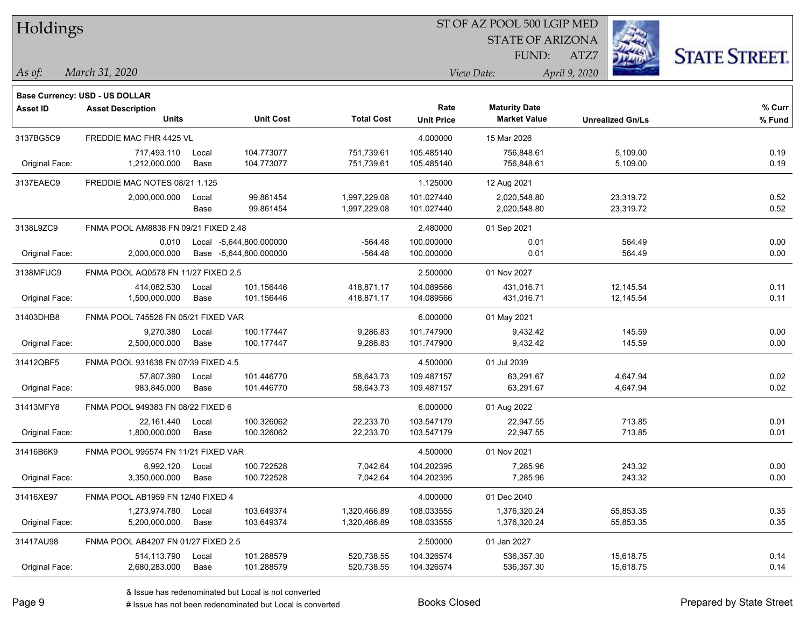| Holdings        |                                          |       |                         |                   |                           | ST OF AZ POOL 500 LGIP MED                  |                         |                      |
|-----------------|------------------------------------------|-------|-------------------------|-------------------|---------------------------|---------------------------------------------|-------------------------|----------------------|
|                 |                                          |       |                         |                   |                           | <b>STATE OF ARIZONA</b>                     |                         |                      |
|                 |                                          |       |                         |                   |                           | FUND:                                       | ATZ7                    | <b>STATE STREET.</b> |
| $\vert$ As of:  | March 31, 2020                           |       |                         |                   |                           | View Date:                                  | April 9, 2020           |                      |
|                 |                                          |       |                         |                   |                           |                                             |                         |                      |
|                 | <b>Base Currency: USD - US DOLLAR</b>    |       |                         |                   |                           |                                             |                         |                      |
| <b>Asset ID</b> | <b>Asset Description</b><br><b>Units</b> |       | <b>Unit Cost</b>        | <b>Total Cost</b> | Rate<br><b>Unit Price</b> | <b>Maturity Date</b><br><b>Market Value</b> | <b>Unrealized Gn/Ls</b> | % Curr<br>% Fund     |
| 3137BG5C9       | FREDDIE MAC FHR 4425 VL                  |       |                         |                   | 4.000000                  | 15 Mar 2026                                 |                         |                      |
|                 | 717,493.110                              | Local | 104.773077              | 751,739.61        | 105.485140                | 756,848.61                                  | 5,109.00                | 0.19                 |
| Original Face:  | 1,212,000.000                            | Base  | 104.773077              | 751,739.61        | 105.485140                | 756,848.61                                  | 5,109.00                | 0.19                 |
| 3137EAEC9       | FREDDIE MAC NOTES 08/21 1.125            |       |                         |                   | 1.125000                  | 12 Aug 2021                                 |                         |                      |
|                 | 2,000,000.000                            | Local | 99.861454               | 1,997,229.08      | 101.027440                | 2,020,548.80                                | 23,319.72               | 0.52                 |
|                 |                                          | Base  | 99.861454               | 1,997,229.08      | 101.027440                | 2,020,548.80                                | 23,319.72               | 0.52                 |
| 3138L9ZC9       | FNMA POOL AM8838 FN 09/21 FIXED 2.48     |       |                         |                   | 2.480000                  | 01 Sep 2021                                 |                         |                      |
|                 | 0.010                                    |       | Local -5,644,800.000000 | $-564.48$         | 100.000000                | 0.01                                        | 564.49                  | 0.00                 |
| Original Face:  | 2,000,000.000                            |       | Base -5,644,800.000000  | $-564.48$         | 100.000000                | 0.01                                        | 564.49                  | 0.00                 |
| 3138MFUC9       | FNMA POOL AQ0578 FN 11/27 FIXED 2.5      |       |                         |                   | 2.500000                  | 01 Nov 2027                                 |                         |                      |
|                 | 414,082.530                              | Local | 101.156446              | 418,871.17        | 104.089566                | 431,016.71                                  | 12,145.54               | 0.11                 |
| Original Face:  | 1,500,000.000                            | Base  | 101.156446              | 418,871.17        | 104.089566                | 431,016.71                                  | 12,145.54               | 0.11                 |
| 31403DHB8       | FNMA POOL 745526 FN 05/21 FIXED VAR      |       |                         |                   | 6.000000                  | 01 May 2021                                 |                         |                      |
|                 | 9,270.380                                | Local | 100.177447              | 9,286.83          | 101.747900                | 9,432.42                                    | 145.59                  | 0.00                 |
| Original Face:  | 2,500,000.000                            | Base  | 100.177447              | 9,286.83          | 101.747900                | 9,432.42                                    | 145.59                  | 0.00                 |
| 31412QBF5       | FNMA POOL 931638 FN 07/39 FIXED 4.5      |       |                         |                   | 4.500000                  | 01 Jul 2039                                 |                         |                      |
|                 | 57,807.390                               | Local | 101.446770              | 58,643.73         | 109.487157                | 63,291.67                                   | 4,647.94                | 0.02                 |
| Original Face:  | 983,845.000                              | Base  | 101.446770              | 58,643.73         | 109.487157                | 63,291.67                                   | 4,647.94                | 0.02                 |
| 31413MFY8       | FNMA POOL 949383 FN 08/22 FIXED 6        |       |                         |                   | 6.000000                  | 01 Aug 2022                                 |                         |                      |
|                 | 22.161.440                               | Local | 100.326062              | 22,233.70         | 103.547179                | 22,947.55                                   | 713.85                  | 0.01                 |
| Original Face:  | 1,800,000.000                            | Base  | 100.326062              | 22,233.70         | 103.547179                | 22,947.55                                   | 713.85                  | 0.01                 |
| 31416B6K9       | FNMA POOL 995574 FN 11/21 FIXED VAR      |       |                         |                   | 4.500000                  | 01 Nov 2021                                 |                         |                      |
|                 | 6,992.120                                | Local | 100.722528              | 7,042.64          | 104.202395                | 7,285.96                                    | 243.32                  | 0.00                 |
| Original Face:  | 3,350,000.000                            | Base  | 100.722528              | 7,042.64          | 104.202395                | 7,285.96                                    | 243.32                  | 0.00                 |
| 31416XE97       | FNMA POOL AB1959 FN 12/40 FIXED 4        |       |                         |                   | 4.000000                  | 01 Dec 2040                                 |                         |                      |
|                 | 1,273,974.780                            | Local | 103.649374              | 1,320,466.89      | 108.033555                | 1,376,320.24                                | 55,853.35               | 0.35                 |
| Original Face:  | 5,200,000.000                            | Base  | 103.649374              | 1,320,466.89      | 108.033555                | 1,376,320.24                                | 55,853.35               | 0.35                 |
| 31417AU98       | FNMA POOL AB4207 FN 01/27 FIXED 2.5      |       |                         |                   | 2.500000                  | 01 Jan 2027                                 |                         |                      |
|                 | 514,113.790                              | Local | 101.288579              | 520,738.55        | 104.326574                | 536,357.30                                  | 15,618.75               | 0.14                 |
| Original Face:  | 2,680,283.000                            | Base  | 101.288579              | 520,738.55        | 104.326574                | 536,357.30                                  | 15,618.75               | 0.14                 |

 $\overline{\phantom{a}}$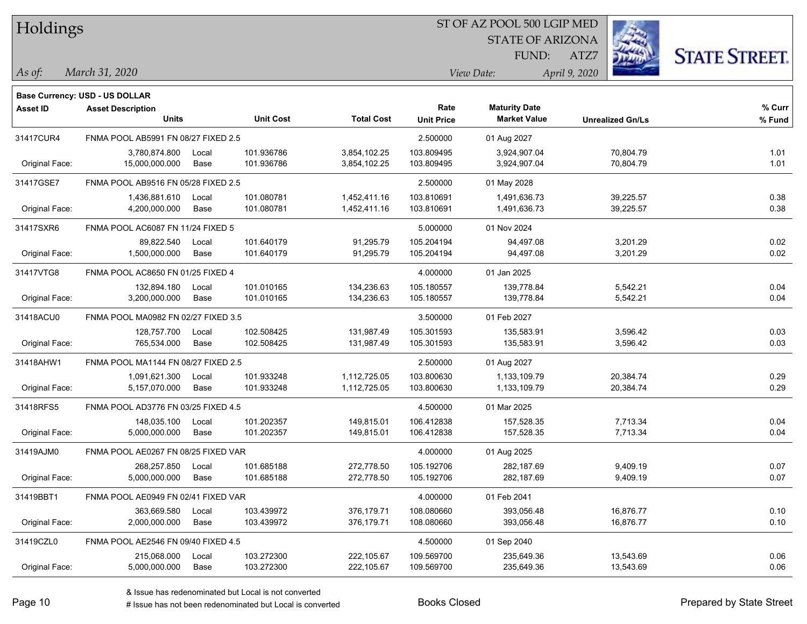| Holdings |
|----------|
|          |

### ST OF AZ POOL 500 LGIP MED

**Maturity Date**

STATE OF ARIZONA FUND:



**% Fund**

**% Curr**

*March 31, 2020 As of: View Date: April 9, 2020*

**Base Currency: USD - US DOLLAR**

ATZ7

| 31417CUR4      | FNMA POOL AB5991 FN 08/27 FIXED 2.5 |       |            |              | 2.500000   | 01 Aug 2027  |           |      |
|----------------|-------------------------------------|-------|------------|--------------|------------|--------------|-----------|------|
|                | 3,780,874.800                       | Local | 101.936786 | 3,854,102.25 | 103.809495 | 3,924,907.04 | 70,804.79 | 1.01 |
| Original Face: | 15,000,000.000                      | Base  | 101.936786 | 3,854,102.25 | 103.809495 | 3,924,907.04 | 70,804.79 | 1.01 |
| 31417GSE7      | FNMA POOL AB9516 FN 05/28 FIXED 2.5 |       |            |              | 2.500000   | 01 May 2028  |           |      |
|                | 1,436,881.610                       | Local | 101.080781 | 1,452,411.16 | 103.810691 | 1,491,636.73 | 39,225.57 | 0.38 |
| Original Face: | 4,200,000.000                       | Base  | 101.080781 | 1,452,411.16 | 103.810691 | 1,491,636.73 | 39,225.57 | 0.38 |
| 31417SXR6      | FNMA POOL AC6087 FN 11/24 FIXED 5   |       |            |              | 5.000000   | 01 Nov 2024  |           |      |
|                | 89.822.540                          | Local | 101.640179 | 91,295.79    | 105.204194 | 94.497.08    | 3,201.29  | 0.02 |
| Original Face: | 1,500,000.000                       | Base  | 101.640179 | 91,295.79    | 105.204194 | 94,497.08    | 3,201.29  | 0.02 |
| 31417VTG8      | FNMA POOL AC8650 FN 01/25 FIXED 4   |       |            |              | 4.000000   | 01 Jan 2025  |           |      |
|                | 132,894.180                         | Local | 101.010165 | 134,236.63   | 105.180557 | 139,778.84   | 5,542.21  | 0.04 |
| Original Face: | 3,200,000.000                       | Base  | 101.010165 | 134,236.63   | 105.180557 | 139,778.84   | 5,542.21  | 0.04 |
| 31418ACU0      | FNMA POOL MA0982 FN 02/27 FIXED 3.5 |       |            |              | 3.500000   | 01 Feb 2027  |           |      |
|                | 128,757.700                         | Local | 102.508425 | 131,987.49   | 105.301593 | 135,583.91   | 3,596.42  | 0.03 |
| Original Face: | 765,534.000                         | Base  | 102.508425 | 131,987.49   | 105.301593 | 135,583.91   | 3,596.42  | 0.03 |
| 31418AHW1      | FNMA POOL MA1144 FN 08/27 FIXED 2.5 |       |            |              | 2.500000   | 01 Aug 2027  |           |      |
|                | 1,091,621.300                       | Local | 101.933248 | 1,112,725.05 | 103.800630 | 1,133,109.79 | 20,384.74 | 0.29 |
| Original Face: | 5,157,070.000                       | Base  | 101.933248 | 1,112,725.05 | 103.800630 | 1,133,109.79 | 20,384.74 | 0.29 |
| 31418RFS5      | FNMA POOL AD3776 FN 03/25 FIXED 4.5 |       |            |              | 4.500000   | 01 Mar 2025  |           |      |
|                | 148.035.100                         | Local | 101.202357 | 149.815.01   | 106.412838 | 157.528.35   | 7,713.34  | 0.04 |
| Original Face: | 5,000,000.000                       | Base  | 101.202357 | 149,815.01   | 106.412838 | 157,528.35   | 7,713.34  | 0.04 |
| 31419AJM0      | FNMA POOL AE0267 FN 08/25 FIXED VAR |       |            |              | 4.000000   | 01 Aug 2025  |           |      |
|                | 268,257.850                         | Local | 101.685188 | 272,778.50   | 105.192706 | 282,187.69   | 9,409.19  | 0.07 |
| Original Face: | 5,000,000.000                       | Base  | 101.685188 | 272,778.50   | 105.192706 | 282,187.69   | 9,409.19  | 0.07 |
| 31419BBT1      | FNMA POOL AE0949 FN 02/41 FIXED VAR |       |            |              | 4.000000   | 01 Feb 2041  |           |      |
|                | 363,669.580                         | Local | 103.439972 | 376,179.71   | 108.080660 | 393,056.48   | 16,876.77 | 0.10 |
| Original Face: | 2,000,000.000                       | Base  | 103.439972 | 376,179.71   | 108.080660 | 393,056.48   | 16,876.77 | 0.10 |
| 31419CZL0      | FNMA POOL AE2546 FN 09/40 FIXED 4.5 |       |            |              | 4.500000   | 01 Sep 2040  |           |      |
|                | 215,068.000                         | Local | 103.272300 | 222,105.67   | 109.569700 | 235,649.36   | 13,543.69 | 0.06 |
| Original Face: | 5,000,000.000                       | Base  | 103.272300 | 222,105.67   | 109.569700 | 235,649.36   | 13,543.69 | 0.06 |

**Units Unit Cost Total Cost Unit Price Market Value Unrealized Gn/Ls**

**Asset ID Asset Description Rate**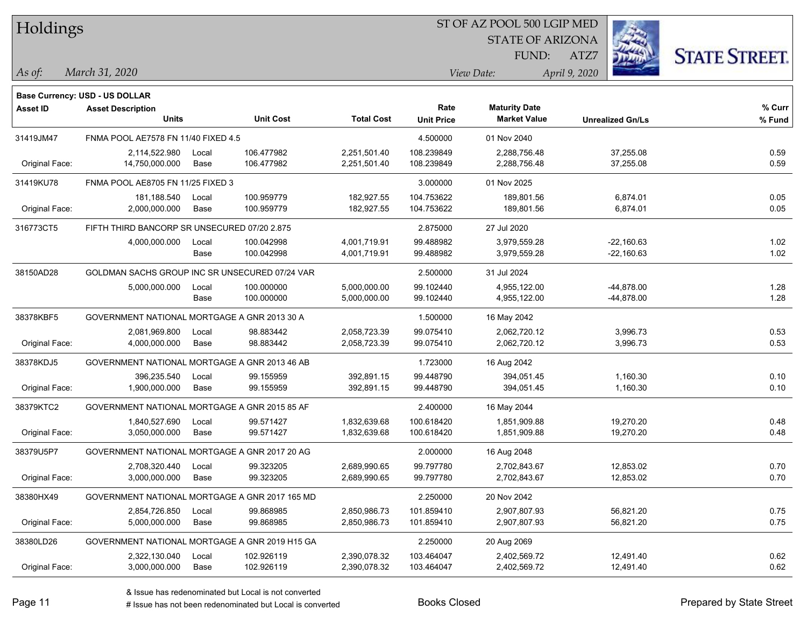| Holdings |  |
|----------|--|
|----------|--|

### ST OF AZ POOL 500 LGIP MED

STATE OF ARIZONA FUND:



*March 31, 2020 As of: View Date: April 9, 2020*

**Base Currency: USD - US DOLLAR**

ATZ7

| <b>Asset ID</b> | <b>Asset Description</b>                       |       |                  |                   | Rate              | <b>Maturity Date</b> |                         | % Curr |
|-----------------|------------------------------------------------|-------|------------------|-------------------|-------------------|----------------------|-------------------------|--------|
|                 | <b>Units</b>                                   |       | <b>Unit Cost</b> | <b>Total Cost</b> | <b>Unit Price</b> | <b>Market Value</b>  | <b>Unrealized Gn/Ls</b> | % Fund |
| 31419JM47       | FNMA POOL AE7578 FN 11/40 FIXED 4.5            |       |                  |                   | 4.500000          | 01 Nov 2040          |                         |        |
|                 | 2,114,522.980                                  | Local | 106.477982       | 2,251,501.40      | 108.239849        | 2,288,756.48         | 37,255.08               | 0.59   |
| Original Face:  | 14,750,000.000                                 | Base  | 106.477982       | 2,251,501.40      | 108.239849        | 2,288,756.48         | 37,255.08               | 0.59   |
| 31419KU78       | FNMA POOL AE8705 FN 11/25 FIXED 3              |       |                  |                   | 3.000000          | 01 Nov 2025          |                         |        |
|                 | 181,188.540                                    | Local | 100.959779       | 182,927.55        | 104.753622        | 189,801.56           | 6,874.01                | 0.05   |
| Original Face:  | 2,000,000.000                                  | Base  | 100.959779       | 182,927.55        | 104.753622        | 189,801.56           | 6,874.01                | 0.05   |
| 316773CT5       | FIFTH THIRD BANCORP SR UNSECURED 07/20 2.875   |       |                  |                   | 2.875000          | 27 Jul 2020          |                         |        |
|                 | 4,000,000.000                                  | Local | 100.042998       | 4,001,719.91      | 99.488982         | 3,979,559.28         | $-22,160.63$            | 1.02   |
|                 |                                                | Base  | 100.042998       | 4,001,719.91      | 99.488982         | 3,979,559.28         | $-22,160.63$            | 1.02   |
| 38150AD28       | GOLDMAN SACHS GROUP INC SR UNSECURED 07/24 VAR |       |                  |                   | 2.500000          | 31 Jul 2024          |                         |        |
|                 | 5,000,000.000                                  | Local | 100.000000       | 5,000,000.00      | 99.102440         | 4,955,122.00         | -44,878.00              | 1.28   |
|                 |                                                | Base  | 100.000000       | 5,000,000.00      | 99.102440         | 4,955,122.00         | $-44,878.00$            | 1.28   |
| 38378KBF5       | GOVERNMENT NATIONAL MORTGAGE A GNR 2013 30 A   |       |                  |                   | 1.500000          | 16 May 2042          |                         |        |
|                 | 2,081,969.800                                  | Local | 98.883442        | 2,058,723.39      | 99.075410         | 2,062,720.12         | 3,996.73                | 0.53   |
| Original Face:  | 4,000,000.000                                  | Base  | 98.883442        | 2,058,723.39      | 99.075410         | 2,062,720.12         | 3,996.73                | 0.53   |
| 38378KDJ5       | GOVERNMENT NATIONAL MORTGAGE A GNR 2013 46 AB  |       |                  |                   | 1.723000          | 16 Aug 2042          |                         |        |
|                 | 396,235.540                                    | Local | 99.155959        | 392,891.15        | 99.448790         | 394,051.45           | 1,160.30                | 0.10   |
| Original Face:  | 1,900,000.000                                  | Base  | 99.155959        | 392,891.15        | 99.448790         | 394,051.45           | 1,160.30                | 0.10   |
| 38379KTC2       | GOVERNMENT NATIONAL MORTGAGE A GNR 2015 85 AF  |       |                  |                   | 2.400000          | 16 May 2044          |                         |        |
|                 | 1,840,527.690                                  | Local | 99.571427        | 1,832,639.68      | 100.618420        | 1,851,909.88         | 19,270.20               | 0.48   |
| Original Face:  | 3,050,000.000                                  | Base  | 99.571427        | 1,832,639.68      | 100.618420        | 1,851,909.88         | 19,270.20               | 0.48   |
| 38379U5P7       | GOVERNMENT NATIONAL MORTGAGE A GNR 2017 20 AG  |       |                  |                   | 2.000000          | 16 Aug 2048          |                         |        |
|                 | 2,708,320.440                                  | Local | 99.323205        | 2,689,990.65      | 99.797780         | 2,702,843.67         | 12,853.02               | 0.70   |
| Original Face:  | 3,000,000.000                                  | Base  | 99.323205        | 2,689,990.65      | 99.797780         | 2,702,843.67         | 12,853.02               | 0.70   |
| 38380HX49       | GOVERNMENT NATIONAL MORTGAGE A GNR 2017 165 MD |       |                  |                   | 2.250000          | 20 Nov 2042          |                         |        |
|                 | 2,854,726.850                                  | Local | 99.868985        | 2,850,986.73      | 101.859410        | 2,907,807.93         | 56,821.20               | 0.75   |
| Original Face:  | 5,000,000.000                                  | Base  | 99.868985        | 2,850,986.73      | 101.859410        | 2,907,807.93         | 56,821.20               | 0.75   |
| 38380LD26       | GOVERNMENT NATIONAL MORTGAGE A GNR 2019 H15 GA |       |                  |                   | 2.250000          | 20 Aug 2069          |                         |        |
|                 | 2,322,130.040                                  | Local | 102.926119       | 2,390,078.32      | 103.464047        | 2,402,569.72         | 12,491.40               | 0.62   |
| Original Face:  | 3,000,000.000                                  | Base  | 102.926119       | 2,390,078.32      | 103.464047        | 2,402,569.72         | 12,491.40               | 0.62   |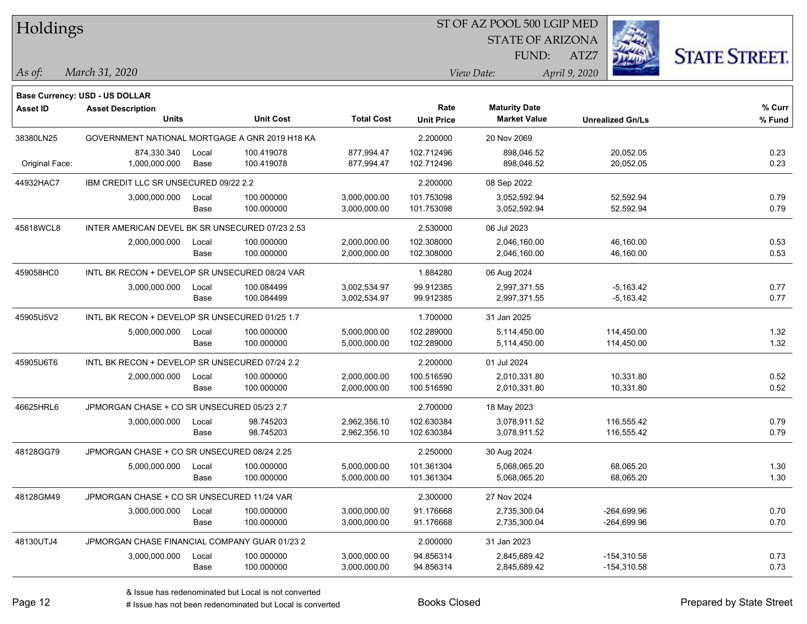| Holdings        |                                                 |       |                  |                   |                   | ST OF AZ POOL 500 LGIP MED |                         |                      |
|-----------------|-------------------------------------------------|-------|------------------|-------------------|-------------------|----------------------------|-------------------------|----------------------|
|                 |                                                 |       |                  |                   |                   | <b>STATE OF ARIZONA</b>    |                         |                      |
|                 |                                                 |       |                  |                   |                   | <b>FUND:</b>               | ATZ7                    | <b>STATE STREET.</b> |
| As of:          | March 31, 2020                                  |       |                  |                   |                   | View Date:                 | April 9, 2020           |                      |
|                 |                                                 |       |                  |                   |                   |                            |                         |                      |
|                 | <b>Base Currency: USD - US DOLLAR</b>           |       |                  |                   | Rate              | <b>Maturity Date</b>       |                         | % Curr               |
| <b>Asset ID</b> | <b>Asset Description</b><br>Units               |       | <b>Unit Cost</b> | <b>Total Cost</b> | <b>Unit Price</b> | <b>Market Value</b>        | <b>Unrealized Gn/Ls</b> | $%$ Fund             |
| 38380LN25       | GOVERNMENT NATIONAL MORTGAGE A GNR 2019 H18 KA  |       |                  |                   | 2.200000          | 20 Nov 2069                |                         |                      |
|                 | 874,330.340                                     | Local | 100.419078       | 877,994.47        | 102.712496        | 898,046.52                 | 20,052.05               | 0.23                 |
| Original Face:  | 1,000,000.000                                   | Base  | 100.419078       | 877,994.47        | 102.712496        | 898,046.52                 | 20,052.05               | 0.23                 |
| 44932HAC7       | IBM CREDIT LLC SR UNSECURED 09/22 2.2           |       |                  |                   | 2.200000          | 08 Sep 2022                |                         |                      |
|                 | 3,000,000.000                                   | Local | 100.000000       | 3,000,000.00      | 101.753098        | 3,052,592.94               | 52,592.94               | 0.79                 |
|                 |                                                 | Base  | 100.000000       | 3,000,000.00      | 101.753098        | 3,052,592.94               | 52,592.94               | 0.79                 |
| 45818WCL8       | INTER AMERICAN DEVEL BK SR UNSECURED 07/23 2.53 |       |                  |                   | 2.530000          | 06 Jul 2023                |                         |                      |
|                 | 2,000,000.000                                   | Local | 100.000000       | 2,000,000.00      | 102.308000        | 2,046,160.00               | 46,160.00               | 0.53                 |
|                 |                                                 | Base  | 100.000000       | 2,000,000.00      | 102.308000        | 2,046,160.00               | 46,160.00               | 0.53                 |
| 459058HC0       | INTL BK RECON + DEVELOP SR UNSECURED 08/24 VAR  |       |                  |                   | 1.884280          | 06 Aug 2024                |                         |                      |
|                 | 3,000,000.000                                   | Local | 100.084499       | 3,002,534.97      | 99.912385         | 2,997,371.55               | $-5,163.42$             | 0.77                 |
|                 |                                                 | Base  | 100.084499       | 3,002,534.97      | 99.912385         | 2,997,371.55               | $-5,163.42$             | 0.77                 |
| 45905U5V2       | INTL BK RECON + DEVELOP SR UNSECURED 01/25 1.7  |       |                  |                   | 1.700000          | 31 Jan 2025                |                         |                      |
|                 | 5,000,000.000                                   | Local | 100.000000       | 5,000,000.00      | 102.289000        | 5,114,450.00               | 114,450.00              | 1.32                 |
|                 |                                                 | Base  | 100.000000       | 5,000,000.00      | 102.289000        | 5,114,450.00               | 114,450.00              | 1.32                 |
| 45905U6T6       | INTL BK RECON + DEVELOP SR UNSECURED 07/24 2.2  |       |                  |                   | 2.200000          | 01 Jul 2024                |                         |                      |
|                 | 2,000,000.000                                   | Local | 100.000000       | 2,000,000.00      | 100.516590        | 2,010,331.80               | 10,331.80               | 0.52                 |
|                 |                                                 | Base  | 100.000000       | 2,000,000.00      | 100.516590        | 2,010,331.80               | 10,331.80               | 0.52                 |
| 46625HRL6       | JPMORGAN CHASE + CO SR UNSECURED 05/23 2.7      |       |                  |                   | 2.700000          | 18 May 2023                |                         |                      |
|                 | 3,000,000.000                                   | Local | 98.745203        | 2,962,356.10      | 102.630384        | 3,078,911.52               | 116,555.42              | 0.79                 |
|                 |                                                 | Base  | 98.745203        | 2,962,356.10      | 102.630384        | 3,078,911.52               | 116,555.42              | 0.79                 |
| 48128GG79       | JPMORGAN CHASE + CO SR UNSECURED 08/24 2.25     |       |                  |                   | 2.250000          | 30 Aug 2024                |                         |                      |
|                 | 5,000,000.000                                   | Local | 100.000000       | 5,000,000.00      | 101.361304        | 5,068,065.20               | 68,065.20               | 1.30                 |
|                 |                                                 | Base  | 100.000000       | 5,000,000.00      | 101.361304        | 5,068,065.20               | 68,065.20               | 1.30                 |
| 48128GM49       | JPMORGAN CHASE + CO SR UNSECURED 11/24 VAR      |       |                  |                   | 2.300000          | 27 Nov 2024                |                         |                      |
|                 | 3,000,000.000                                   | Local | 100.000000       | 3,000,000.00      | 91.176668         | 2,735,300.04               | $-264,699.96$           | 0.70                 |
|                 |                                                 | Base  | 100.000000       | 3,000,000.00      | 91.176668         | 2,735,300.04               | $-264,699.96$           | 0.70                 |
| 48130UTJ4       | JPMORGAN CHASE FINANCIAL COMPANY GUAR 01/23 2   |       |                  |                   | 2.000000          | 31 Jan 2023                |                         |                      |
|                 | 3,000,000.000                                   | Local | 100.000000       | 3,000,000.00      | 94.856314         | 2,845,689.42               | $-154,310.58$           | 0.73                 |
|                 |                                                 | Base  | 100.000000       | 3,000,000.00      | 94.856314         | 2,845,689.42               | $-154,310.58$           | 0.73                 |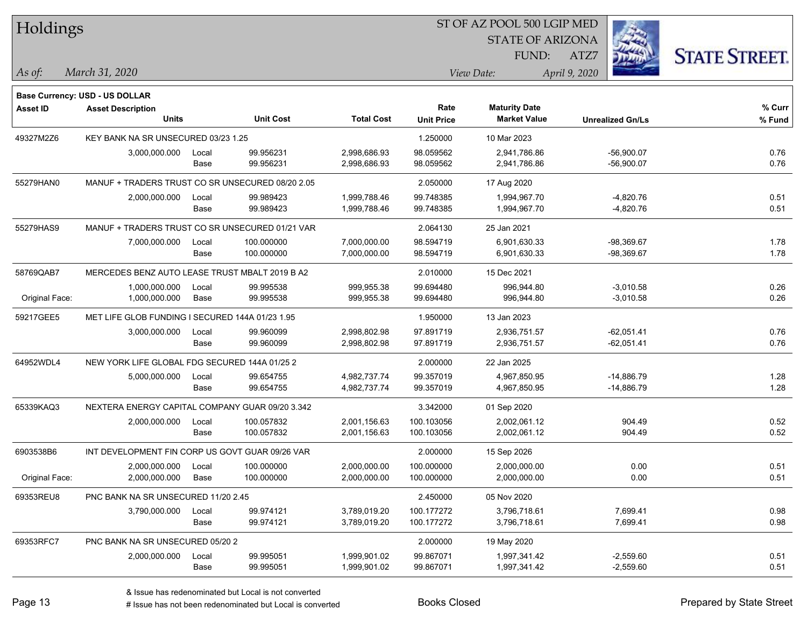| Holdings        |                                                  |       |                  |                   | ST OF AZ POOL 500 LGIP MED |                         |                         |                      |
|-----------------|--------------------------------------------------|-------|------------------|-------------------|----------------------------|-------------------------|-------------------------|----------------------|
|                 |                                                  |       |                  |                   |                            | <b>STATE OF ARIZONA</b> |                         |                      |
|                 |                                                  |       |                  |                   |                            | FUND:                   | ATZ7                    | <b>STATE STREET.</b> |
| As of:          | March 31, 2020                                   |       |                  |                   |                            | View Date:              | April 9, 2020           |                      |
|                 | Base Currency: USD - US DOLLAR                   |       |                  |                   |                            |                         |                         |                      |
| <b>Asset ID</b> | <b>Asset Description</b>                         |       |                  |                   | Rate                       | <b>Maturity Date</b>    |                         | % Curr               |
|                 | <b>Units</b>                                     |       | <b>Unit Cost</b> | <b>Total Cost</b> | <b>Unit Price</b>          | <b>Market Value</b>     | <b>Unrealized Gn/Ls</b> | % Fund               |
| 49327M2Z6       | KEY BANK NA SR UNSECURED 03/23 1.25              |       |                  |                   | 1.250000                   | 10 Mar 2023             |                         |                      |
|                 | 3,000,000.000                                    | Local | 99.956231        | 2,998,686.93      | 98.059562                  | 2,941,786.86            | $-56,900.07$            | 0.76                 |
|                 |                                                  | Base  | 99.956231        | 2,998,686.93      | 98.059562                  | 2,941,786.86            | $-56,900.07$            | 0.76                 |
| 55279HAN0       | MANUF + TRADERS TRUST CO SR UNSECURED 08/20 2.05 |       |                  |                   | 2.050000                   | 17 Aug 2020             |                         |                      |
|                 | 2,000,000.000                                    | Local | 99.989423        | 1,999,788.46      | 99.748385                  | 1,994,967.70            | $-4,820.76$             | 0.51                 |
|                 |                                                  | Base  | 99.989423        | 1,999,788.46      | 99.748385                  | 1,994,967.70            | $-4,820.76$             | 0.51                 |
| 55279HAS9       | MANUF + TRADERS TRUST CO SR UNSECURED 01/21 VAR  |       |                  |                   | 2.064130                   | 25 Jan 2021             |                         |                      |
|                 | 7,000,000.000                                    | Local | 100.000000       | 7,000,000.00      | 98.594719                  | 6,901,630.33            | $-98,369.67$            | 1.78                 |
|                 |                                                  | Base  | 100.000000       | 7,000,000.00      | 98.594719                  | 6,901,630.33            | $-98,369.67$            | 1.78                 |
| 58769QAB7       | MERCEDES BENZ AUTO LEASE TRUST MBALT 2019 B A2   |       |                  |                   | 2.010000                   | 15 Dec 2021             |                         |                      |
|                 | 1,000,000.000                                    | Local | 99.995538        | 999,955.38        | 99.694480                  | 996,944.80              | $-3,010.58$             | 0.26                 |
| Original Face:  | 1,000,000.000                                    | Base  | 99.995538        | 999,955.38        | 99.694480                  | 996,944.80              | $-3,010.58$             | 0.26                 |
| 59217GEE5       | MET LIFE GLOB FUNDING I SECURED 144A 01/23 1.95  |       |                  |                   | 1.950000                   | 13 Jan 2023             |                         |                      |
|                 | 3,000,000.000                                    | Local | 99.960099        | 2,998,802.98      | 97.891719                  | 2,936,751.57            | $-62,051.41$            | 0.76                 |
|                 |                                                  | Base  | 99.960099        | 2,998,802.98      | 97.891719                  | 2,936,751.57            | $-62,051.41$            | 0.76                 |
| 64952WDL4       | NEW YORK LIFE GLOBAL FDG SECURED 144A 01/25 2    |       |                  |                   | 2.000000                   | 22 Jan 2025             |                         |                      |
|                 | 5,000,000.000                                    | Local | 99.654755        | 4,982,737.74      | 99.357019                  | 4,967,850.95            | $-14,886.79$            | 1.28                 |
|                 |                                                  | Base  | 99.654755        | 4,982,737.74      | 99.357019                  | 4,967,850.95            | $-14,886.79$            | 1.28                 |
| 65339KAQ3       | NEXTERA ENERGY CAPITAL COMPANY GUAR 09/20 3.342  |       |                  |                   | 3.342000                   | 01 Sep 2020             |                         |                      |
|                 | 2,000,000.000                                    | Local | 100.057832       | 2,001,156.63      | 100.103056                 | 2,002,061.12            | 904.49                  | 0.52                 |
|                 |                                                  | Base  | 100.057832       | 2,001,156.63      | 100.103056                 | 2,002,061.12            | 904.49                  | 0.52                 |
| 6903538B6       | INT DEVELOPMENT FIN CORP US GOVT GUAR 09/26 VAR  |       |                  |                   | 2.000000                   | 15 Sep 2026             |                         |                      |
|                 | 2,000,000.000                                    | Local | 100.000000       | 2,000,000.00      | 100.000000                 | 2,000,000.00            | 0.00                    | 0.51                 |
| Original Face:  | 2,000,000.000                                    | Base  | 100.000000       | 2,000,000.00      | 100.000000                 | 2,000,000.00            | 0.00                    | 0.51                 |
| 69353REU8       | PNC BANK NA SR UNSECURED 11/20 2.45              |       |                  |                   | 2.450000                   | 05 Nov 2020             |                         |                      |
|                 | 3,790,000.000                                    | Local | 99.974121        | 3,789,019.20      | 100.177272                 | 3,796,718.61            | 7,699.41                | 0.98                 |
|                 |                                                  | Base  | 99.974121        | 3,789,019.20      | 100.177272                 | 3,796,718.61            | 7,699.41                | 0.98                 |
| 69353RFC7       | PNC BANK NA SR UNSECURED 05/20 2                 |       |                  |                   | 2.000000                   | 19 May 2020             |                         |                      |
|                 | 2,000,000.000                                    | Local | 99.995051        | 1,999,901.02      | 99.867071                  | 1,997,341.42            | $-2,559.60$             | 0.51                 |
|                 |                                                  | Base  | 99.995051        | 1,999,901.02      | 99.867071                  | 1,997,341.42            | $-2,559.60$             | 0.51                 |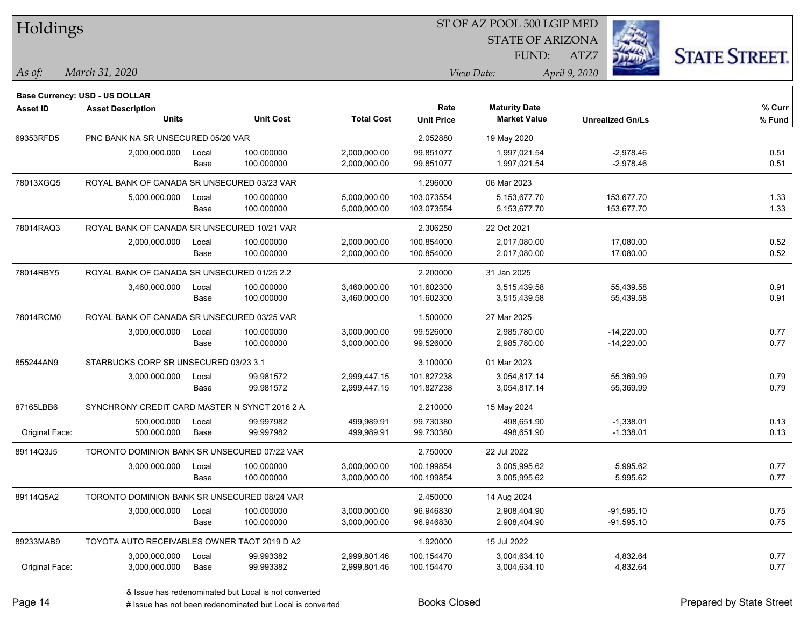| Holdings        |                                               |       |                  |                   |                   | ST OF AZ POOL 500 LGIP MED |                         |                      |
|-----------------|-----------------------------------------------|-------|------------------|-------------------|-------------------|----------------------------|-------------------------|----------------------|
|                 |                                               |       |                  |                   |                   | <b>STATE OF ARIZONA</b>    |                         |                      |
|                 |                                               |       |                  |                   |                   | FUND:                      | ATZ7                    | <b>STATE STREET.</b> |
| As of:          | March 31, 2020                                |       |                  |                   |                   | View Date:                 | April 9, 2020           |                      |
|                 | Base Currency: USD - US DOLLAR                |       |                  |                   |                   |                            |                         |                      |
| <b>Asset ID</b> | <b>Asset Description</b>                      |       |                  |                   | Rate              | <b>Maturity Date</b>       |                         | % Curr               |
|                 | <b>Units</b>                                  |       | <b>Unit Cost</b> | <b>Total Cost</b> | <b>Unit Price</b> | <b>Market Value</b>        | <b>Unrealized Gn/Ls</b> | % Fund               |
| 69353RFD5       | PNC BANK NA SR UNSECURED 05/20 VAR            |       |                  |                   | 2.052880          | 19 May 2020                |                         |                      |
|                 | 2,000,000.000                                 | Local | 100.000000       | 2,000,000.00      | 99.851077         | 1,997,021.54               | $-2,978.46$             | 0.51                 |
|                 |                                               | Base  | 100.000000       | 2,000,000.00      | 99.851077         | 1,997,021.54               | $-2,978.46$             | 0.51                 |
| 78013XGQ5       | ROYAL BANK OF CANADA SR UNSECURED 03/23 VAR   |       |                  |                   | 1.296000          | 06 Mar 2023                |                         |                      |
|                 | 5,000,000.000                                 | Local | 100.000000       | 5,000,000.00      | 103.073554        | 5,153,677.70               | 153,677.70              | 1.33                 |
|                 |                                               | Base  | 100.000000       | 5,000,000.00      | 103.073554        | 5,153,677.70               | 153,677.70              | 1.33                 |
| 78014RAQ3       | ROYAL BANK OF CANADA SR UNSECURED 10/21 VAR   |       |                  |                   | 2.306250          | 22 Oct 2021                |                         |                      |
|                 | 2,000,000.000                                 | Local | 100.000000       | 2,000,000.00      | 100.854000        | 2,017,080.00               | 17,080.00               | 0.52                 |
|                 |                                               | Base  | 100.000000       | 2,000,000.00      | 100.854000        | 2,017,080.00               | 17,080.00               | 0.52                 |
| 78014RBY5       | ROYAL BANK OF CANADA SR UNSECURED 01/25 2.2   |       |                  |                   | 2.200000          | 31 Jan 2025                |                         |                      |
|                 | 3,460,000.000                                 | Local | 100.000000       | 3,460,000.00      | 101.602300        | 3,515,439.58               | 55,439.58               | 0.91                 |
|                 |                                               | Base  | 100.000000       | 3,460,000.00      | 101.602300        | 3,515,439.58               | 55,439.58               | 0.91                 |
| 78014RCM0       | ROYAL BANK OF CANADA SR UNSECURED 03/25 VAR   |       |                  |                   | 1.500000          | 27 Mar 2025                |                         |                      |
|                 | 3,000,000.000                                 | Local | 100.000000       | 3,000,000.00      | 99.526000         | 2,985,780.00               | $-14,220.00$            | 0.77                 |
|                 |                                               | Base  | 100.000000       | 3,000,000.00      | 99.526000         | 2,985,780.00               | $-14,220.00$            | 0.77                 |
| 855244AN9       | STARBUCKS CORP SR UNSECURED 03/23 3.1         |       |                  |                   | 3.100000          | 01 Mar 2023                |                         |                      |
|                 | 3,000,000.000                                 | Local | 99.981572        | 2,999,447.15      | 101.827238        | 3,054,817.14               | 55,369.99               | 0.79                 |
|                 |                                               | Base  | 99.981572        | 2,999,447.15      | 101.827238        | 3,054,817.14               | 55,369.99               | 0.79                 |
| 87165LBB6       | SYNCHRONY CREDIT CARD MASTER N SYNCT 2016 2 A |       |                  |                   | 2.210000          | 15 May 2024                |                         |                      |
|                 | 500,000.000                                   | Local | 99.997982        | 499,989.91        | 99.730380         | 498,651.90                 | $-1,338.01$             | 0.13                 |
| Original Face:  | 500,000.000                                   | Base  | 99.997982        | 499,989.91        | 99.730380         | 498,651.90                 | $-1,338.01$             | 0.13                 |
| 89114Q3J5       | TORONTO DOMINION BANK SR UNSECURED 07/22 VAR  |       |                  |                   | 2.750000          | 22 Jul 2022                |                         |                      |
|                 | 3,000,000.000                                 | Local | 100.000000       | 3,000,000.00      | 100.199854        | 3,005,995.62               | 5,995.62                | 0.77                 |
|                 |                                               | Base  | 100.000000       | 3,000,000.00      | 100.199854        | 3,005,995.62               | 5,995.62                | 0.77                 |
| 89114Q5A2       | TORONTO DOMINION BANK SR UNSECURED 08/24 VAR  |       |                  |                   | 2.450000          | 14 Aug 2024                |                         |                      |
|                 | 3,000,000.000                                 | Local | 100.000000       | 3,000,000.00      | 96.946830         | 2,908,404.90               | $-91,595.10$            | 0.75                 |
|                 |                                               | Base  | 100.000000       | 3,000,000.00      | 96.946830         | 2,908,404.90               | $-91,595.10$            | 0.75                 |
| 89233MAB9       | TOYOTA AUTO RECEIVABLES OWNER TAOT 2019 D A2  |       |                  |                   | 1.920000          | 15 Jul 2022                |                         |                      |
|                 | 3,000,000.000                                 | Local | 99.993382        | 2,999,801.46      | 100.154470        | 3,004,634.10               | 4,832.64                | 0.77                 |
| Original Face:  | 3,000,000.000                                 | Base  | 99.993382        | 2,999,801.46      | 100.154470        | 3,004,634.10               | 4,832.64                | 0.77                 |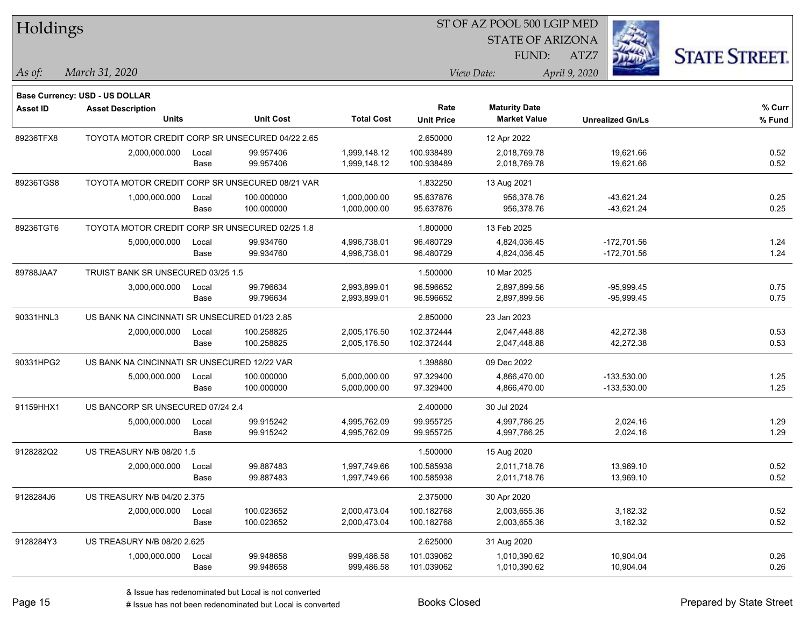| Holdings        |                                                  |       |                  |                   | ST OF AZ POOL 500 LGIP MED |                         |                         |                      |  |  |
|-----------------|--------------------------------------------------|-------|------------------|-------------------|----------------------------|-------------------------|-------------------------|----------------------|--|--|
|                 |                                                  |       |                  |                   |                            | <b>STATE OF ARIZONA</b> |                         |                      |  |  |
|                 |                                                  |       |                  |                   |                            | FUND:                   | ATZ7                    | <b>STATE STREET.</b> |  |  |
| $\vert$ As of:  | March 31, 2020                                   |       |                  |                   |                            | View Date:              | April 9, 2020           |                      |  |  |
|                 | Base Currency: USD - US DOLLAR                   |       |                  |                   |                            |                         |                         |                      |  |  |
| <b>Asset ID</b> | <b>Asset Description</b>                         |       |                  |                   | Rate                       | <b>Maturity Date</b>    |                         | % Curr               |  |  |
|                 | <b>Units</b>                                     |       | <b>Unit Cost</b> | <b>Total Cost</b> | <b>Unit Price</b>          | <b>Market Value</b>     | <b>Unrealized Gn/Ls</b> | % Fund               |  |  |
| 89236TFX8       | TOYOTA MOTOR CREDIT CORP SR UNSECURED 04/22 2.65 |       |                  |                   | 2.650000                   | 12 Apr 2022             |                         |                      |  |  |
|                 | 2,000,000.000                                    | Local | 99.957406        | 1,999,148.12      | 100.938489                 | 2,018,769.78            | 19,621.66               | 0.52                 |  |  |
|                 |                                                  | Base  | 99.957406        | 1,999,148.12      | 100.938489                 | 2,018,769.78            | 19,621.66               | 0.52                 |  |  |
| 89236TGS8       | TOYOTA MOTOR CREDIT CORP SR UNSECURED 08/21 VAR  |       |                  |                   | 1.832250                   | 13 Aug 2021             |                         |                      |  |  |
|                 | 1,000,000.000                                    | Local | 100.000000       | 1,000,000.00      | 95.637876                  | 956,378.76              | -43,621.24              | 0.25                 |  |  |
|                 |                                                  | Base  | 100.000000       | 1,000,000.00      | 95.637876                  | 956,378.76              | $-43,621.24$            | 0.25                 |  |  |
| 89236TGT6       | TOYOTA MOTOR CREDIT CORP SR UNSECURED 02/25 1.8  |       |                  |                   | 1.800000                   | 13 Feb 2025             |                         |                      |  |  |
|                 | 5,000,000.000                                    | Local | 99.934760        | 4,996,738.01      | 96.480729                  | 4,824,036.45            | $-172,701.56$           | 1.24                 |  |  |
|                 |                                                  | Base  | 99.934760        | 4,996,738.01      | 96.480729                  | 4,824,036.45            | $-172,701.56$           | 1.24                 |  |  |
| 89788JAA7       | TRUIST BANK SR UNSECURED 03/25 1.5               |       |                  |                   | 1.500000                   | 10 Mar 2025             |                         |                      |  |  |
|                 | 3,000,000.000                                    | Local | 99.796634        | 2,993,899.01      | 96.596652                  | 2,897,899.56            | $-95,999.45$            | 0.75                 |  |  |
|                 |                                                  | Base  | 99.796634        | 2,993,899.01      | 96.596652                  | 2,897,899.56            | $-95,999.45$            | 0.75                 |  |  |
| 90331HNL3       | US BANK NA CINCINNATI SR UNSECURED 01/23 2.85    |       |                  |                   | 2.850000                   | 23 Jan 2023             |                         |                      |  |  |
|                 | 2,000,000.000                                    | Local | 100.258825       | 2,005,176.50      | 102.372444                 | 2,047,448.88            | 42,272.38               | 0.53                 |  |  |
|                 |                                                  | Base  | 100.258825       | 2,005,176.50      | 102.372444                 | 2,047,448.88            | 42,272.38               | 0.53                 |  |  |
| 90331HPG2       | US BANK NA CINCINNATI SR UNSECURED 12/22 VAR     |       |                  |                   | 1.398880                   | 09 Dec 2022             |                         |                      |  |  |
|                 | 5,000,000.000                                    | Local | 100.000000       | 5,000,000.00      | 97.329400                  | 4,866,470.00            | $-133,530.00$           | 1.25                 |  |  |
|                 |                                                  | Base  | 100.000000       | 5,000,000.00      | 97.329400                  | 4,866,470.00            | $-133,530.00$           | 1.25                 |  |  |
| 91159HHX1       | US BANCORP SR UNSECURED 07/24 2.4                |       |                  |                   | 2.400000                   | 30 Jul 2024             |                         |                      |  |  |
|                 | 5,000,000.000                                    | Local | 99.915242        | 4,995,762.09      | 99.955725                  | 4,997,786.25            | 2,024.16                | 1.29                 |  |  |
|                 |                                                  | Base  | 99.915242        | 4,995,762.09      | 99.955725                  | 4,997,786.25            | 2,024.16                | 1.29                 |  |  |
| 9128282Q2       | US TREASURY N/B 08/20 1.5                        |       |                  |                   | 1.500000                   | 15 Aug 2020             |                         |                      |  |  |
|                 | 2,000,000.000                                    | Local | 99.887483        | 1,997,749.66      | 100.585938                 | 2,011,718.76            | 13,969.10               | 0.52                 |  |  |
|                 |                                                  | Base  | 99.887483        | 1,997,749.66      | 100.585938                 | 2,011,718.76            | 13,969.10               | 0.52                 |  |  |
| 9128284J6       | US TREASURY N/B 04/20 2.375                      |       |                  |                   | 2.375000                   | 30 Apr 2020             |                         |                      |  |  |
|                 | 2,000,000.000                                    | Local | 100.023652       | 2,000,473.04      | 100.182768                 | 2,003,655.36            | 3,182.32                | 0.52                 |  |  |
|                 |                                                  | Base  | 100.023652       | 2,000,473.04      | 100.182768                 | 2,003,655.36            | 3,182.32                | 0.52                 |  |  |
| 9128284Y3       | US TREASURY N/B 08/20 2.625                      |       |                  |                   | 2.625000                   | 31 Aug 2020             |                         |                      |  |  |
|                 | 1,000,000.000                                    | Local | 99.948658        | 999,486.58        | 101.039062                 | 1,010,390.62            | 10,904.04               | 0.26                 |  |  |
|                 |                                                  | Base  | 99.948658        | 999,486.58        | 101.039062                 | 1,010,390.62            | 10,904.04               | 0.26                 |  |  |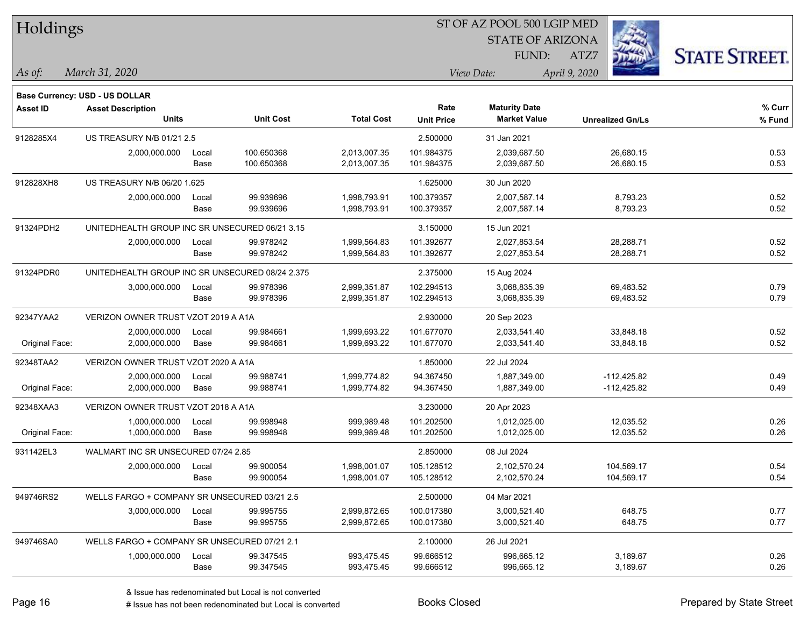| Holdings        |                                                 |       |                  |                   |                   | ST OF AZ POOL 500 LGIP MED |                         |                      |
|-----------------|-------------------------------------------------|-------|------------------|-------------------|-------------------|----------------------------|-------------------------|----------------------|
|                 |                                                 |       |                  |                   |                   | <b>STATE OF ARIZONA</b>    |                         |                      |
|                 |                                                 |       |                  |                   |                   | FUND:                      | ATZ7                    | <b>STATE STREET.</b> |
| As of:          | March 31, 2020                                  |       |                  |                   |                   | View Date:                 | April 9, 2020           |                      |
|                 | Base Currency: USD - US DOLLAR                  |       |                  |                   |                   |                            |                         |                      |
| <b>Asset ID</b> | <b>Asset Description</b>                        |       |                  |                   | Rate              | <b>Maturity Date</b>       |                         | % Curr               |
|                 | <b>Units</b>                                    |       | <b>Unit Cost</b> | <b>Total Cost</b> | <b>Unit Price</b> | <b>Market Value</b>        | <b>Unrealized Gn/Ls</b> | % Fund               |
| 9128285X4       | US TREASURY N/B 01/21 2.5                       |       |                  |                   | 2.500000          | 31 Jan 2021                |                         |                      |
|                 | 2,000,000.000                                   | Local | 100.650368       | 2,013,007.35      | 101.984375        | 2,039,687.50               | 26,680.15               | 0.53                 |
|                 |                                                 | Base  | 100.650368       | 2,013,007.35      | 101.984375        | 2,039,687.50               | 26,680.15               | 0.53                 |
| 912828XH8       | US TREASURY N/B 06/20 1.625                     |       |                  |                   | 1.625000          | 30 Jun 2020                |                         |                      |
|                 | 2,000,000.000                                   | Local | 99.939696        | 1,998,793.91      | 100.379357        | 2,007,587.14               | 8,793.23                | 0.52                 |
|                 |                                                 | Base  | 99.939696        | 1,998,793.91      | 100.379357        | 2,007,587.14               | 8,793.23                | 0.52                 |
| 91324PDH2       | UNITEDHEALTH GROUP INC SR UNSECURED 06/21 3.15  |       |                  |                   | 3.150000          | 15 Jun 2021                |                         |                      |
|                 | 2,000,000.000                                   | Local | 99.978242        | 1,999,564.83      | 101.392677        | 2,027,853.54               | 28,288.71               | 0.52                 |
|                 |                                                 | Base  | 99.978242        | 1,999,564.83      | 101.392677        | 2,027,853.54               | 28,288.71               | 0.52                 |
| 91324PDR0       | UNITEDHEALTH GROUP INC SR UNSECURED 08/24 2.375 |       |                  |                   | 2.375000          | 15 Aug 2024                |                         |                      |
|                 | 3,000,000.000                                   | Local | 99.978396        | 2,999,351.87      | 102.294513        | 3,068,835.39               | 69,483.52               | 0.79                 |
|                 |                                                 | Base  | 99.978396        | 2,999,351.87      | 102.294513        | 3,068,835.39               | 69,483.52               | 0.79                 |
| 92347YAA2       | VERIZON OWNER TRUST VZOT 2019 A A1A             |       |                  |                   | 2.930000          | 20 Sep 2023                |                         |                      |
|                 | 2,000,000.000                                   | Local | 99.984661        | 1,999,693.22      | 101.677070        | 2,033,541.40               | 33,848.18               | 0.52                 |
| Original Face:  | 2,000,000.000                                   | Base  | 99.984661        | 1,999,693.22      | 101.677070        | 2,033,541.40               | 33,848.18               | 0.52                 |
| 92348TAA2       | VERIZON OWNER TRUST VZOT 2020 A A1A             |       |                  |                   | 1.850000          | 22 Jul 2024                |                         |                      |
|                 | 2,000,000.000                                   | Local | 99.988741        | 1,999,774.82      | 94.367450         | 1,887,349.00               | $-112,425.82$           | 0.49                 |
| Original Face:  | 2,000,000.000                                   | Base  | 99.988741        | 1,999,774.82      | 94.367450         | 1,887,349.00               | $-112,425.82$           | 0.49                 |
| 92348XAA3       | VERIZON OWNER TRUST VZOT 2018 A A1A             |       |                  |                   | 3.230000          | 20 Apr 2023                |                         |                      |
|                 | 1,000,000.000                                   | Local | 99.998948        | 999,989.48        | 101.202500        | 1,012,025.00               | 12,035.52               | 0.26                 |
| Original Face:  | 1,000,000.000                                   | Base  | 99.998948        | 999,989.48        | 101.202500        | 1,012,025.00               | 12,035.52               | 0.26                 |
| 931142EL3       | WALMART INC SR UNSECURED 07/24 2.85             |       |                  |                   | 2.850000          | 08 Jul 2024                |                         |                      |
|                 | 2,000,000.000                                   | Local | 99.900054        | 1,998,001.07      | 105.128512        | 2,102,570.24               | 104,569.17              | 0.54                 |
|                 |                                                 | Base  | 99.900054        | 1,998,001.07      | 105.128512        | 2,102,570.24               | 104,569.17              | 0.54                 |
| 949746RS2       | WELLS FARGO + COMPANY SR UNSECURED 03/21 2.5    |       |                  |                   | 2.500000          | 04 Mar 2021                |                         |                      |
|                 | 3,000,000.000                                   | Local | 99.995755        | 2,999,872.65      | 100.017380        | 3,000,521.40               | 648.75                  | 0.77                 |
|                 |                                                 | Base  | 99.995755        | 2,999,872.65      | 100.017380        | 3,000,521.40               | 648.75                  | 0.77                 |
| 949746SA0       | WELLS FARGO + COMPANY SR UNSECURED 07/21 2.1    |       |                  |                   | 2.100000          | 26 Jul 2021                |                         |                      |
|                 | 1,000,000.000                                   | Local | 99.347545        | 993,475.45        | 99.666512         | 996,665.12                 | 3,189.67                | 0.26                 |
|                 |                                                 | Base  | 99.347545        | 993,475.45        | 99.666512         | 996,665.12                 | 3,189.67                | 0.26                 |

 $\overline{\phantom{0}}$ 

 $\overline{\phantom{0}}$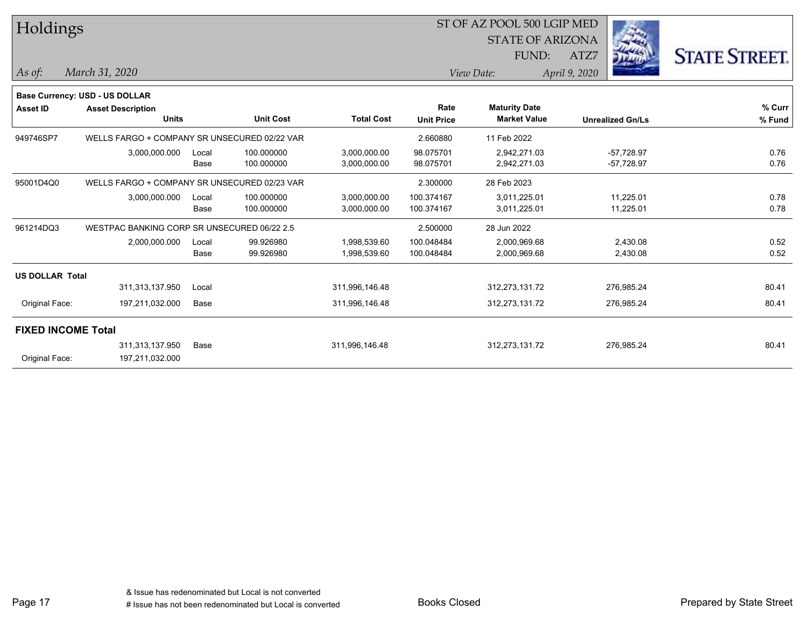|                                       |                            |                  |                                                                                                                                             |                   |                      |                     |                                                                                | <b>STATE STREET.</b>                                                                              |
|---------------------------------------|----------------------------|------------------|---------------------------------------------------------------------------------------------------------------------------------------------|-------------------|----------------------|---------------------|--------------------------------------------------------------------------------|---------------------------------------------------------------------------------------------------|
|                                       |                            |                  |                                                                                                                                             |                   |                      |                     |                                                                                |                                                                                                   |
|                                       |                            |                  |                                                                                                                                             |                   |                      |                     |                                                                                |                                                                                                   |
| <b>Base Currency: USD - US DOLLAR</b> |                            |                  |                                                                                                                                             |                   |                      |                     |                                                                                |                                                                                                   |
| <b>Asset Description</b>              |                            |                  |                                                                                                                                             | Rate              | <b>Maturity Date</b> |                     |                                                                                | % Curr                                                                                            |
| <b>Units</b>                          |                            | <b>Unit Cost</b> | <b>Total Cost</b>                                                                                                                           | <b>Unit Price</b> | <b>Market Value</b>  |                     |                                                                                | % Fund                                                                                            |
|                                       |                            |                  |                                                                                                                                             | 2.660880          | 11 Feb 2022          |                     |                                                                                |                                                                                                   |
| 3,000,000.000                         | Local                      | 100.000000       | 3,000,000.00                                                                                                                                | 98.075701         | 2,942,271.03         |                     |                                                                                | 0.76                                                                                              |
|                                       | Base                       | 100.000000       | 3,000,000.00                                                                                                                                | 98.075701         | 2,942,271.03         |                     |                                                                                | 0.76                                                                                              |
|                                       |                            |                  |                                                                                                                                             | 2.300000          | 28 Feb 2023          |                     |                                                                                |                                                                                                   |
| 3,000,000.000                         | Local                      | 100.000000       | 3,000,000.00                                                                                                                                | 100.374167        | 3,011,225.01         |                     | 11,225.01                                                                      | 0.78                                                                                              |
|                                       | Base                       | 100.000000       | 3,000,000.00                                                                                                                                | 100.374167        | 3,011,225.01         |                     | 11,225.01                                                                      | 0.78                                                                                              |
|                                       |                            |                  |                                                                                                                                             | 2.500000          | 28 Jun 2022          |                     |                                                                                |                                                                                                   |
| 2,000,000.000                         | Local                      | 99.926980        | 1,998,539.60                                                                                                                                | 100.048484        | 2,000,969.68         |                     | 2,430.08                                                                       | 0.52                                                                                              |
|                                       | Base                       | 99.926980        | 1,998,539.60                                                                                                                                | 100.048484        | 2,000,969.68         |                     | 2,430.08                                                                       | 0.52                                                                                              |
| <b>US DOLLAR Total</b>                |                            |                  |                                                                                                                                             |                   |                      |                     |                                                                                |                                                                                                   |
| 311,313,137.950                       | Local                      |                  | 311,996,146.48                                                                                                                              |                   | 312,273,131.72       |                     |                                                                                | 80.41                                                                                             |
| Original Face:<br>197,211,032.000     | Base                       |                  | 311,996,146.48                                                                                                                              |                   | 312,273,131.72       |                     |                                                                                | 80.41                                                                                             |
| <b>FIXED INCOME Total</b>             |                            |                  |                                                                                                                                             |                   |                      |                     |                                                                                |                                                                                                   |
| 311,313,137.950                       | Base                       |                  | 311,996,146.48                                                                                                                              |                   | 312,273,131.72       |                     |                                                                                | 80.41                                                                                             |
| Original Face:<br>197,211,032.000     |                            |                  |                                                                                                                                             |                   |                      |                     |                                                                                |                                                                                                   |
|                                       | Holdings<br>March 31, 2020 |                  | WELLS FARGO + COMPANY SR UNSECURED 02/22 VAR<br>WELLS FARGO + COMPANY SR UNSECURED 02/23 VAR<br>WESTPAC BANKING CORP SR UNSECURED 06/22 2.5 |                   |                      | FUND:<br>View Date: | ST OF AZ POOL 500 LGIP MED<br><b>STATE OF ARIZONA</b><br>ATZ7<br>April 9, 2020 | <b>Unrealized Gn/Ls</b><br>$-57,728.97$<br>$-57,728.97$<br>276,985.24<br>276,985.24<br>276,985.24 |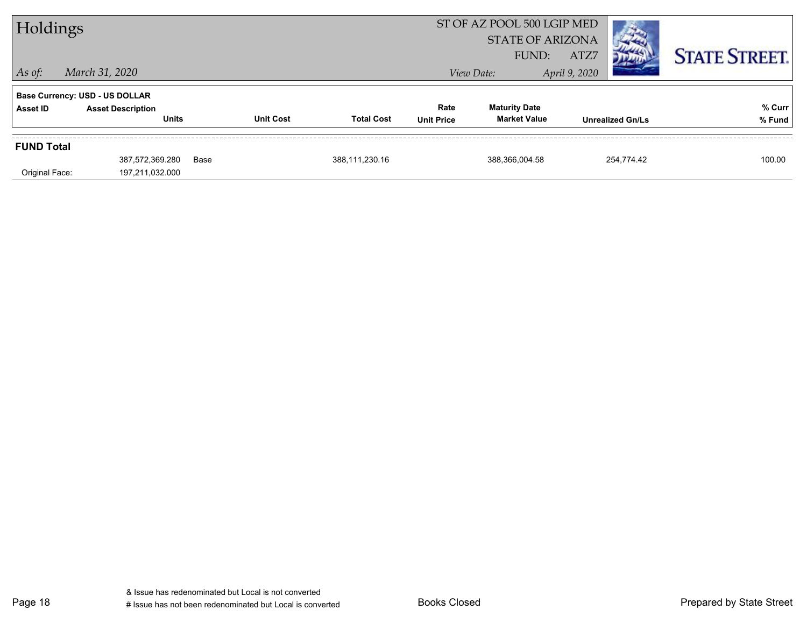| Holdings          |                                                                   |      |                  | ST OF AZ POOL 500 LGIP MED<br><b>STATE OF ARIZONA</b><br>FUND:<br>ATZ7 |                   |                      |               |                         | <b>STATE STREET.</b> |
|-------------------|-------------------------------------------------------------------|------|------------------|------------------------------------------------------------------------|-------------------|----------------------|---------------|-------------------------|----------------------|
| $ $ As of:        | March 31, 2020                                                    |      |                  |                                                                        |                   | View Date:           | April 9, 2020 |                         |                      |
| Asset ID          | <b>Base Currency: USD - US DOLLAR</b><br><b>Asset Description</b> |      |                  |                                                                        | Rate              | <b>Maturity Date</b> |               |                         | % Curr               |
|                   | <b>Units</b>                                                      |      | <b>Unit Cost</b> | <b>Total Cost</b>                                                      | <b>Unit Price</b> | <b>Market Value</b>  |               | <b>Unrealized Gn/Ls</b> | % Fund               |
| <b>FUND Total</b> |                                                                   |      |                  |                                                                        |                   |                      |               |                         |                      |
| Original Face:    | 387,572,369.280<br>197,211,032.000                                | Base |                  | 388,111,230.16                                                         |                   | 388,366,004.58       |               | 254,774.42              | 100.00               |

Page 18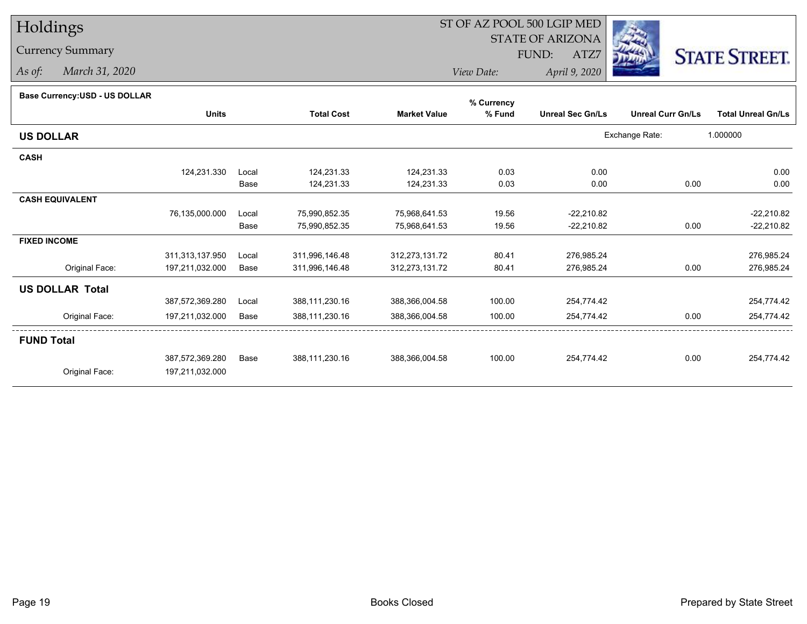# Holdings

### Currency Summary

*As of: March 31, 2020*

## ST OF AZ POOL 500 LGIP MED

 STATE OF ARIZONAFUND:

ATZ7



*View Date:April 9, 2020*

| Base Currency: USD - US DOLLAR |  |  |
|--------------------------------|--|--|
|                                |  |  |

| Base Currency: USD - US DOLLAR |                 |       |                   |                     | % Currency |                         |                          |                           |
|--------------------------------|-----------------|-------|-------------------|---------------------|------------|-------------------------|--------------------------|---------------------------|
|                                | <b>Units</b>    |       | <b>Total Cost</b> | <b>Market Value</b> | % Fund     | <b>Unreal Sec Gn/Ls</b> | <b>Unreal Curr Gn/Ls</b> | <b>Total Unreal Gn/Ls</b> |
| <b>US DOLLAR</b>               |                 |       |                   |                     |            |                         | Exchange Rate:           | 1.000000                  |
| <b>CASH</b>                    |                 |       |                   |                     |            |                         |                          |                           |
|                                | 124,231.330     | Local | 124,231.33        | 124,231.33          | 0.03       | 0.00                    |                          | 0.00                      |
|                                |                 | Base  | 124,231.33        | 124,231.33          | 0.03       | 0.00                    | 0.00                     | 0.00                      |
| <b>CASH EQUIVALENT</b>         |                 |       |                   |                     |            |                         |                          |                           |
|                                | 76,135,000.000  | Local | 75,990,852.35     | 75,968,641.53       | 19.56      | $-22,210.82$            |                          | $-22,210.82$              |
|                                |                 | Base  | 75,990,852.35     | 75,968,641.53       | 19.56      | $-22,210.82$            | 0.00                     | $-22,210.82$              |
| <b>FIXED INCOME</b>            |                 |       |                   |                     |            |                         |                          |                           |
|                                | 311,313,137.950 | Local | 311,996,146.48    | 312,273,131.72      | 80.41      | 276,985.24              |                          | 276,985.24                |
| Original Face:                 | 197,211,032.000 | Base  | 311,996,146.48    | 312,273,131.72      | 80.41      | 276,985.24              | 0.00                     | 276,985.24                |
| <b>US DOLLAR Total</b>         |                 |       |                   |                     |            |                         |                          |                           |
|                                | 387,572,369.280 | Local | 388,111,230.16    | 388,366,004.58      | 100.00     | 254,774.42              |                          | 254,774.42                |
| Original Face:                 | 197,211,032.000 | Base  | 388,111,230.16    | 388,366,004.58      | 100.00     | 254,774.42              | 0.00                     | 254,774.42                |
| <b>FUND Total</b>              |                 |       |                   |                     |            |                         |                          |                           |
|                                | 387,572,369.280 | Base  | 388,111,230.16    | 388,366,004.58      | 100.00     | 254,774.42              | 0.00                     | 254,774.42                |
| Original Face:                 | 197,211,032.000 |       |                   |                     |            |                         |                          |                           |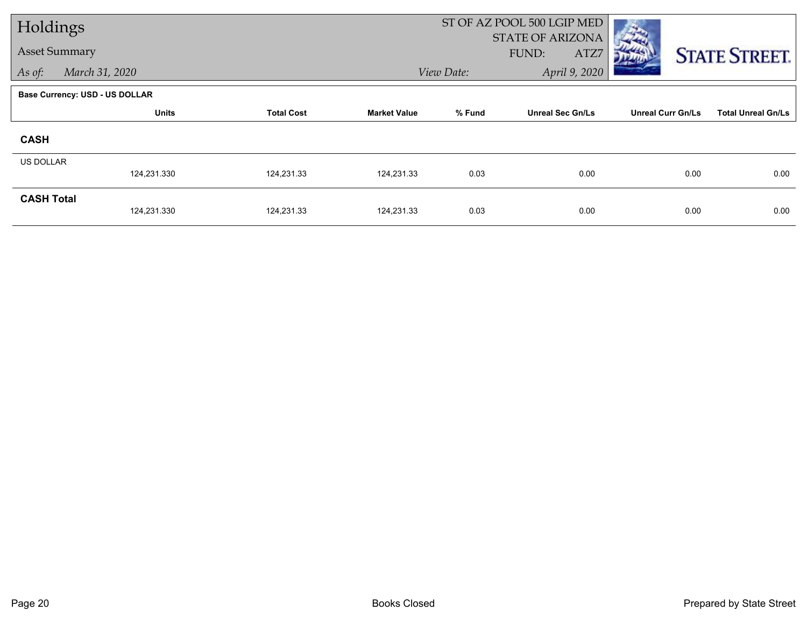| Holdings             |                                       |                   |                     |            | ST OF AZ POOL 500 LGIP MED               |                          |                           |
|----------------------|---------------------------------------|-------------------|---------------------|------------|------------------------------------------|--------------------------|---------------------------|
| <b>Asset Summary</b> |                                       |                   |                     |            | <b>STATE OF ARIZONA</b><br>FUND:<br>ATZ7 |                          | <b>STATE STREET.</b>      |
| As of:               | March 31, 2020                        |                   |                     | View Date: | April 9, 2020                            |                          |                           |
|                      | <b>Base Currency: USD - US DOLLAR</b> |                   |                     |            |                                          |                          |                           |
|                      | <b>Units</b>                          | <b>Total Cost</b> | <b>Market Value</b> | % Fund     | <b>Unreal Sec Gn/Ls</b>                  | <b>Unreal Curr Gn/Ls</b> | <b>Total Unreal Gn/Ls</b> |
| <b>CASH</b>          |                                       |                   |                     |            |                                          |                          |                           |
| <b>US DOLLAR</b>     |                                       |                   |                     |            |                                          |                          |                           |
|                      | 124,231.330                           | 124,231.33        | 124,231.33          | 0.03       | 0.00                                     | 0.00                     | 0.00                      |
| <b>CASH Total</b>    | 124,231.330                           | 124,231.33        | 124,231.33          | 0.03       | 0.00                                     | 0.00                     | 0.00                      |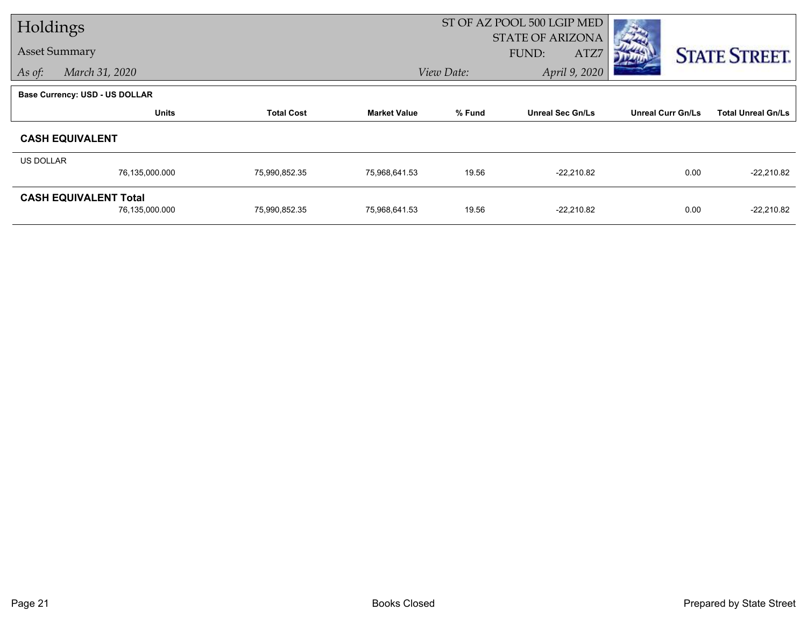| Holdings                       |                |                   |                     |                             | ST OF AZ POOL 500 LGIP MED |                          |                           |
|--------------------------------|----------------|-------------------|---------------------|-----------------------------|----------------------------|--------------------------|---------------------------|
|                                |                |                   |                     | <b>STATE OF ARIZONA</b>     |                            |                          |                           |
| <b>Asset Summary</b>           |                |                   |                     |                             | FUND:<br>ATZ7              |                          | <b>STATE STREET.</b>      |
| As of:                         | March 31, 2020 |                   |                     | April 9, 2020<br>View Date: |                            |                          |                           |
| Base Currency: USD - US DOLLAR |                |                   |                     |                             |                            |                          |                           |
|                                | <b>Units</b>   | <b>Total Cost</b> | <b>Market Value</b> | % Fund                      | <b>Unreal Sec Gn/Ls</b>    | <b>Unreal Curr Gn/Ls</b> | <b>Total Unreal Gn/Ls</b> |
| <b>CASH EQUIVALENT</b>         |                |                   |                     |                             |                            |                          |                           |
| US DOLLAR                      |                |                   |                     |                             |                            |                          |                           |
|                                | 76,135,000.000 | 75,990,852.35     | 75,968,641.53       | 19.56                       | $-22,210.82$               | 0.00                     | $-22,210.82$              |
| <b>CASH EQUIVALENT Total</b>   |                |                   |                     |                             |                            |                          |                           |
|                                | 76,135,000.000 | 75,990,852.35     | 75,968,641.53       | 19.56                       | $-22,210.82$               | 0.00                     | $-22,210.82$              |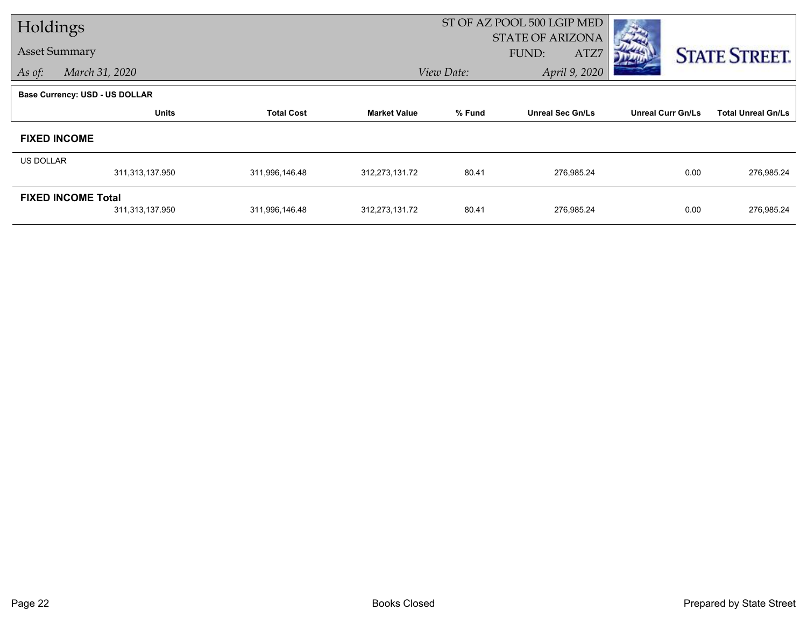| Holdings             |                                       |                   |                             | ST OF AZ POOL 500 LGIP MED        |                                          |                          |                           |  |  |
|----------------------|---------------------------------------|-------------------|-----------------------------|-----------------------------------|------------------------------------------|--------------------------|---------------------------|--|--|
| <b>Asset Summary</b> |                                       |                   |                             |                                   | <b>STATE OF ARIZONA</b><br>FUND:<br>ATZ7 |                          | <b>STATE STREET.</b>      |  |  |
| As of:               | March 31, 2020                        |                   | April 9, 2020<br>View Date: |                                   |                                          |                          |                           |  |  |
|                      | <b>Base Currency: USD - US DOLLAR</b> |                   |                             |                                   |                                          |                          |                           |  |  |
|                      | <b>Units</b>                          | <b>Total Cost</b> | <b>Market Value</b>         | % Fund<br><b>Unreal Sec Gn/Ls</b> |                                          | <b>Unreal Curr Gn/Ls</b> | <b>Total Unreal Gn/Ls</b> |  |  |
|                      | <b>FIXED INCOME</b>                   |                   |                             |                                   |                                          |                          |                           |  |  |
| <b>US DOLLAR</b>     |                                       |                   |                             |                                   |                                          |                          |                           |  |  |
|                      | 311,313,137.950                       | 311,996,146.48    | 312,273,131.72              | 80.41                             | 276,985.24                               | 0.00                     | 276,985.24                |  |  |
|                      | <b>FIXED INCOME Total</b>             |                   |                             |                                   |                                          |                          |                           |  |  |
|                      | 311,313,137.950                       | 311,996,146.48    | 312,273,131.72              | 80.41                             | 276,985.24                               | 0.00                     | 276,985.24                |  |  |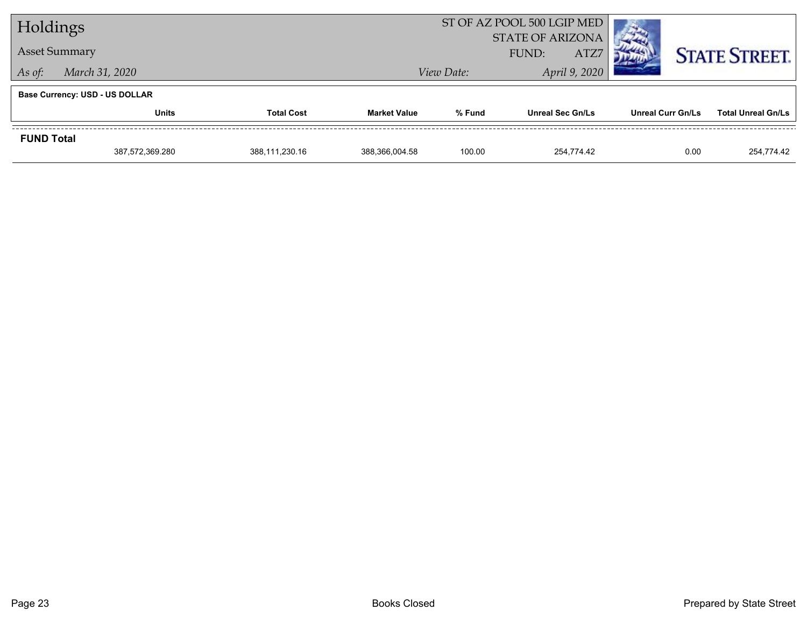| Holdings             |                                       |                   | ST OF AZ POOL 500 LGIP MED |                                          |                         |                          |                           |
|----------------------|---------------------------------------|-------------------|----------------------------|------------------------------------------|-------------------------|--------------------------|---------------------------|
| <b>Asset Summary</b> |                                       |                   |                            | <b>STATE OF ARIZONA</b><br>ATZ7<br>FUND: |                         |                          | <b>STATE STREET.</b>      |
| As of:               | March 31, 2020                        |                   |                            | View Date:                               | April 9, 2020           |                          |                           |
|                      | <b>Base Currency: USD - US DOLLAR</b> |                   |                            |                                          |                         |                          |                           |
|                      | <b>Units</b>                          | <b>Total Cost</b> | <b>Market Value</b>        | % Fund                                   | <b>Unreal Sec Gn/Ls</b> | <b>Unreal Curr Gn/Ls</b> | <b>Total Unreal Gn/Ls</b> |
| <b>FUND Total</b>    |                                       |                   |                            |                                          |                         |                          |                           |
|                      | 387,572,369.280                       | 388,111,230.16    | 388,366,004.58             | 100.00                                   | 254.774.42              | 0.00                     | 254,774.42                |